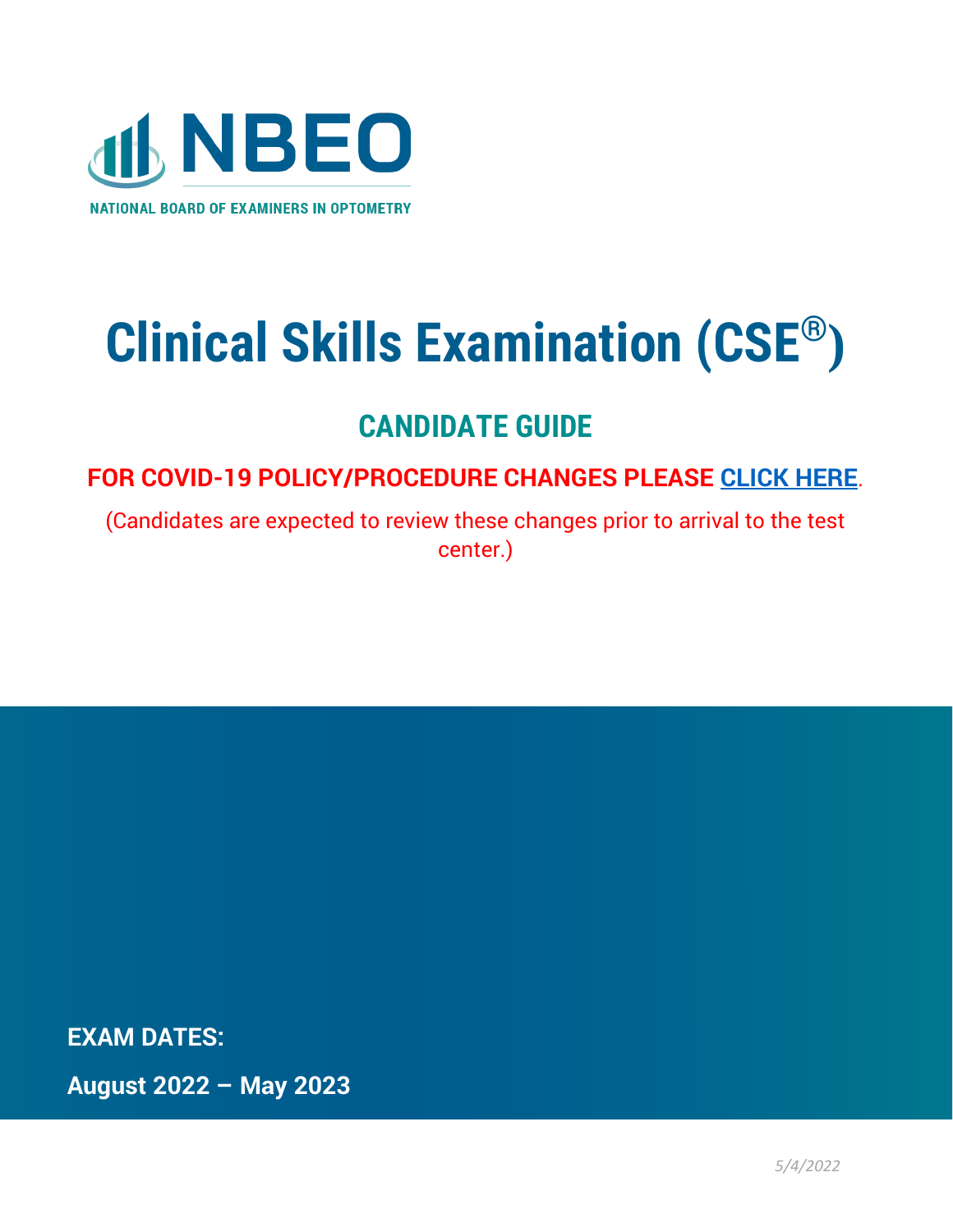

# **Clinical Skills Examination (CSE®)**

# **CANDIDATE GUIDE**

**FOR COVID-19 POLICY/PROCEDURE CHANGES PLEASE [CLICK HERE](https://www.optometry.org/media/documents/news/covid_policy_changes_2.pdf)**[.](https://www.optometry.org/media/documents/news/covid_policy_changes_2.pdf)

(Candidates are expected to review these changes prior to arrival to the test center.)

**EXAM DATES:**

**August 2022 – May 2023**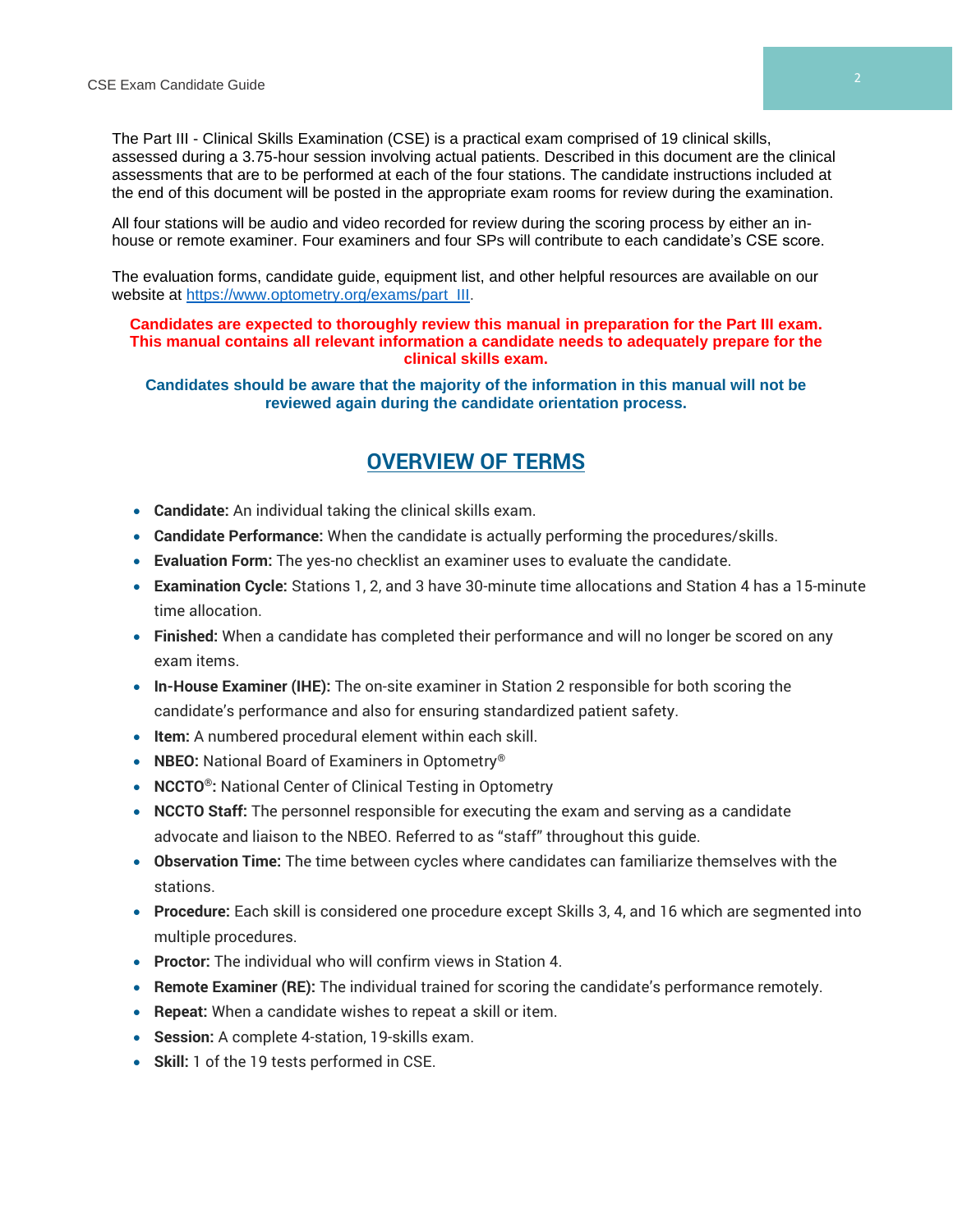The Part III - Clinical Skills Examination (CSE) is a practical exam comprised of 19 clinical skills, assessed during a 3.75-hour session involving actual patients. Described in this document are the clinical assessments that are to be performed at each of the four stations. The candidate instructions included at the end of this document will be posted in the appropriate exam rooms for review during the examination.

All four stations will be audio and video recorded for review during the scoring process by either an inhouse or remote examiner. Four examiners and four SPs will contribute to each candidate's CSE score.

The evaluation forms, candidate guide, equipment list, and other helpful resources are available on our website at [https://www.optometry.org/exams/part\\_III.](https://www.optometry.org/exams/part_III)

#### **Candidates are expected to thoroughly review this manual in preparation for the Part III exam. This manual contains all relevant information a candidate needs to adequately prepare for the clinical skills exam.**

**Candidates should be aware that the majority of the information in this manual will not be reviewed again during the candidate orientation process.**

# **OVERVIEW OF TERMS**

- **Candidate:** An individual taking the clinical skills exam.
- **Candidate Performance:** When the candidate is actually performing the procedures/skills.
- **Evaluation Form:** The yes-no checklist an examiner uses to evaluate the candidate.
- **Examination Cycle:** Stations 1, 2, and 3 have 30-minute time allocations and Station 4 has a 15-minute time allocation.
- **Finished:** When a candidate has completed their performance and will no longer be scored on any exam items.
- **In-House Examiner (IHE):** The on-site examiner in Station 2 responsible for both scoring the candidate's performance and also for ensuring standardized patient safety.
- **Item:** A numbered procedural element within each skill.
- **NBEO:** National Board of Examiners in Optometry®
- **NCCTO®:** National Center of Clinical Testing in Optometry
- **NCCTO Staff:** The personnel responsible for executing the exam and serving as a candidate advocate and liaison to the NBEO. Referred to as "staff" throughout this guide.
- **Observation Time:** The time between cycles where candidates can familiarize themselves with the stations.
- **Procedure:** Each skill is considered one procedure except Skills 3, 4, and 16 which are segmented into multiple procedures.
- **Proctor:** The individual who will confirm views in Station 4.
- **Remote Examiner (RE):** The individual trained for scoring the candidate's performance remotely.
- **Repeat:** When a candidate wishes to repeat a skill or item.
- **Session:** A complete 4-station, 19-skills exam.
- **Skill:** 1 of the 19 tests performed in CSE.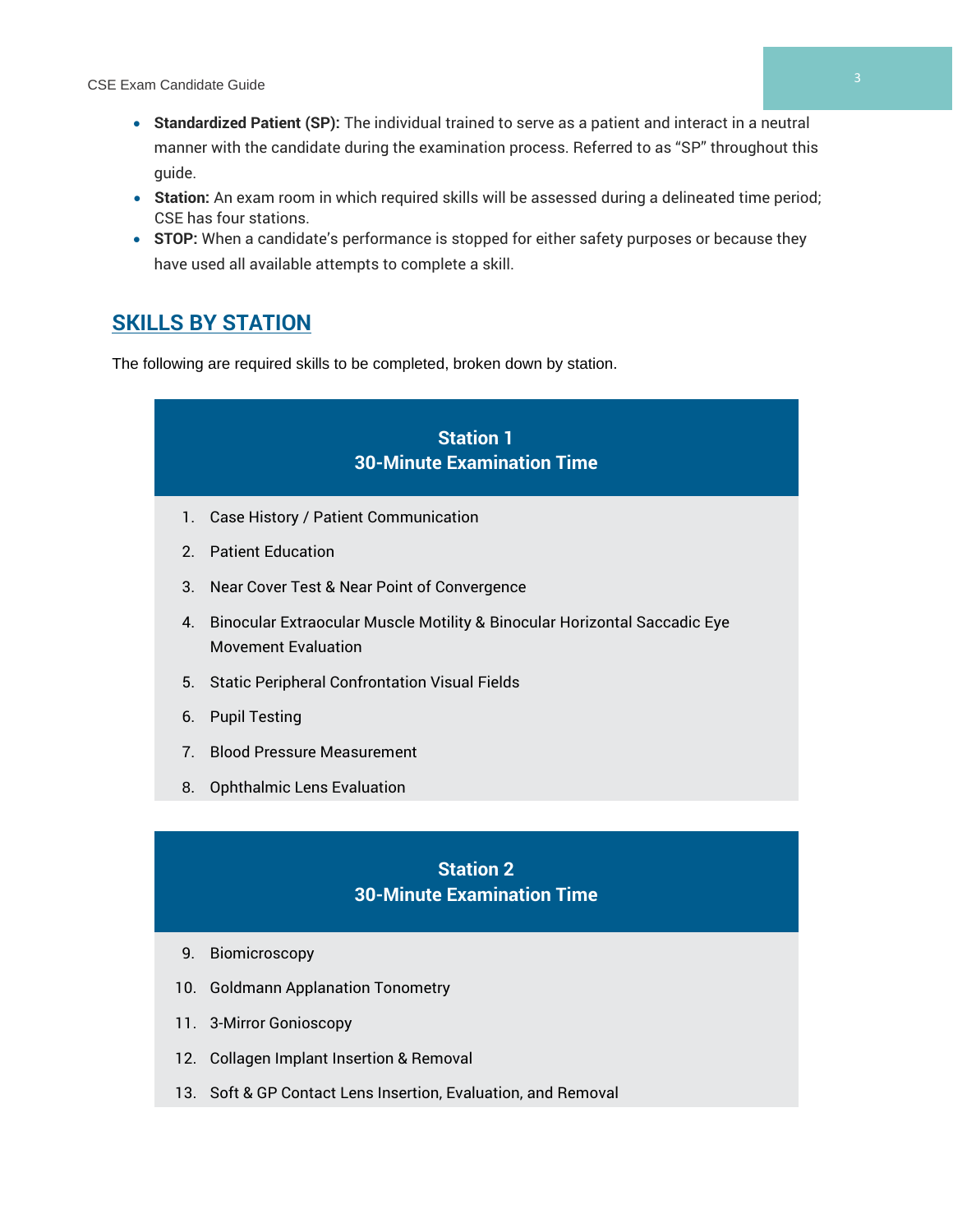- **Standardized Patient (SP):** The individual trained to serve as a patient and interact in a neutral manner with the candidate during the examination process. Referred to as "SP" throughout this guide.
- **Station:** An exam room in which required skills will be assessed during a delineated time period; CSE has four stations.
- **STOP:** When a candidate's performance is stopped for either safety purposes or because they have used all available attempts to complete a skill.

# **SKILLS BY STATION**

The following are required skills to be completed, broken down by station.



- 9. Biomicroscopy
- 10. Goldmann Applanation Tonometry
- 11. 3-Mirror Gonioscopy
- 12. Collagen Implant Insertion & Removal
- 13. Soft & GP Contact Lens Insertion, Evaluation, and Removal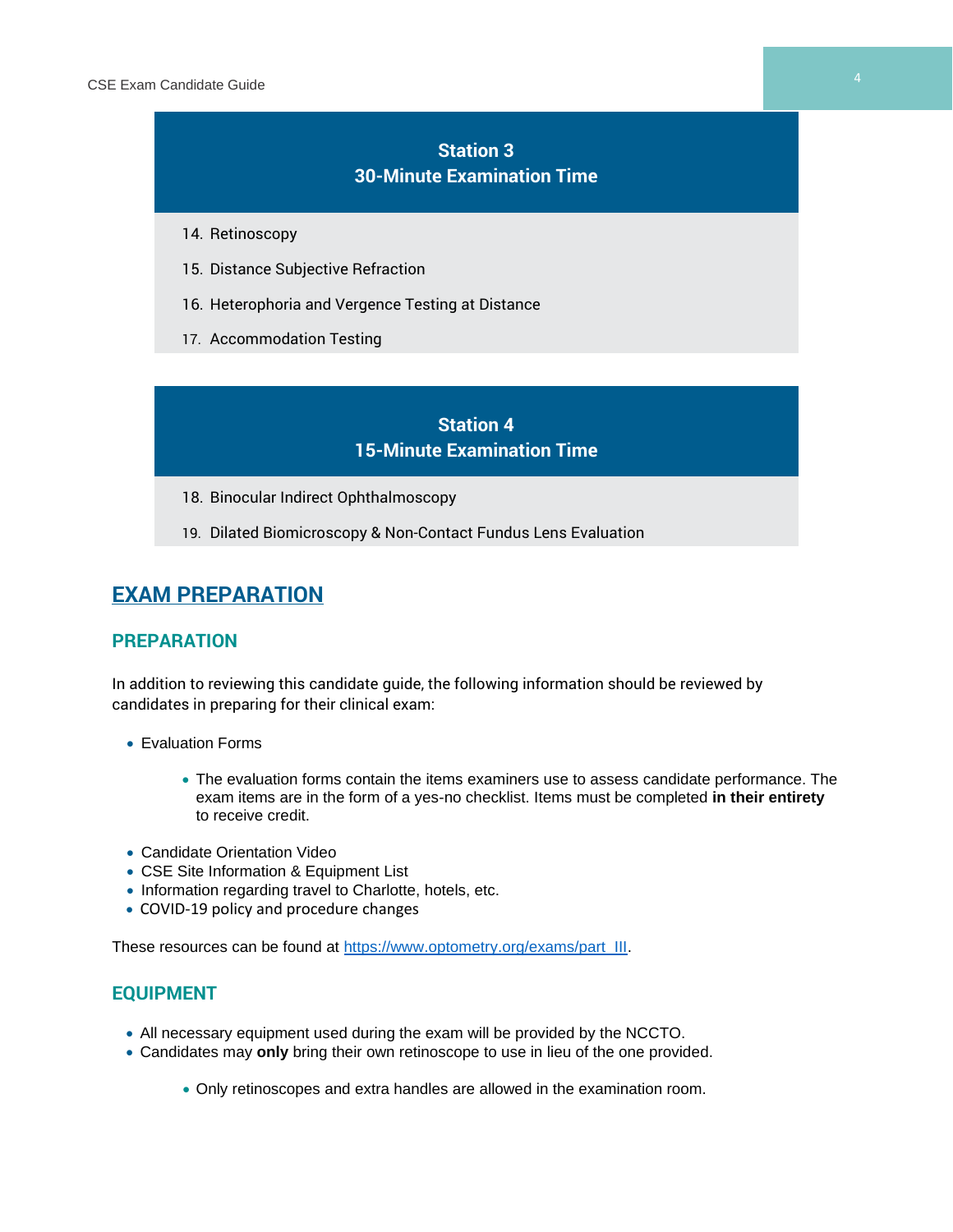# **Station 3 30-Minute Examination Time**

- 14. Retinoscopy
- 15. Distance Subjective Refraction
- 16. Heterophoria and Vergence Testing at Distance
- 17. Accommodation Testing

# **Station 4 15-Minute Examination Time**

- 18. Binocular Indirect Ophthalmoscopy
- 19. Dilated Biomicroscopy & Non-Contact Fundus Lens Evaluation

# **EXAM PREPARATION**

### **PREPARATION**

In addition to reviewing this candidate guide, the following information should be reviewed by candidates in preparing for their clinical exam:

- Evaluation Forms
	- The evaluation forms contain the items examiners use to assess candidate performance. The exam items are in the form of a yes-no checklist. Items must be completed **in their entirety** to receive credit.
- Candidate Orientation Video
- CSE Site Information & Equipment List
- Information regarding travel to Charlotte, hotels, etc.
- COVID-19 policy and procedure changes

These resources can be found at [https://www.optometry.org/exams/part\\_III.](https://www.optometry.org/exams/part_III)

### **EQUIPMENT**

- All necessary equipment used during the exam will be provided by the NCCTO.
- Candidates may **only** bring their own retinoscope to use in lieu of the one provided.
	- Only retinoscopes and extra handles are allowed in the examination room.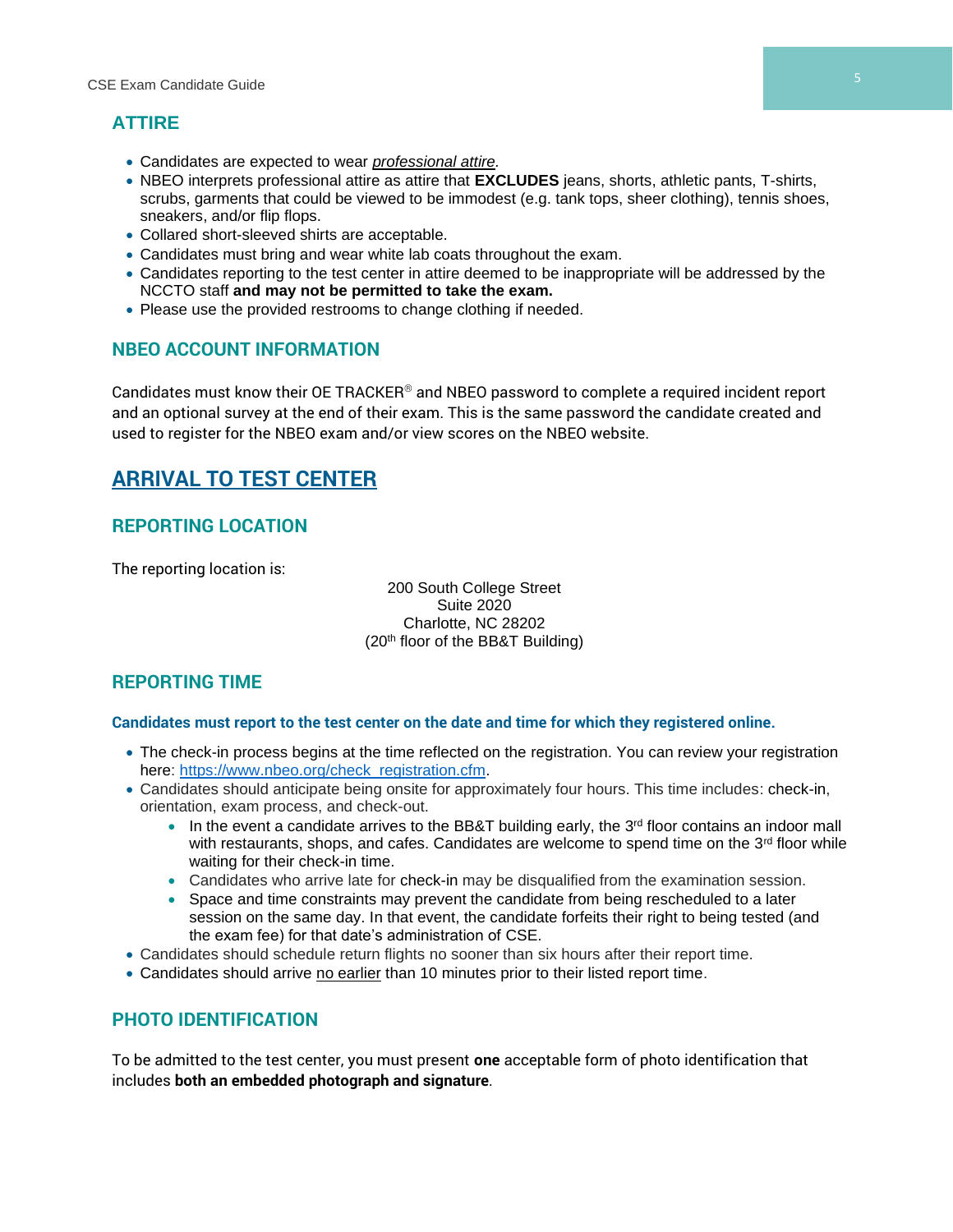# **ATTIRE**

- Candidates are expected to wear *professional attire.*
- NBEO interprets professional attire as attire that **EXCLUDES** jeans, shorts, athletic pants, T-shirts, scrubs, garments that could be viewed to be immodest (e.g. tank tops, sheer clothing), tennis shoes, sneakers, and/or flip flops.
- Collared short-sleeved shirts are acceptable.
- Candidates must bring and wear white lab coats throughout the exam.
- Candidates reporting to the test center in attire deemed to be inappropriate will be addressed by the NCCTO staff **and may not be permitted to take the exam.**
- Please use the provided restrooms to change clothing if needed.

# **NBEO ACCOUNT INFORMATION**

Candidates must know their OE TRACKER® and NBEO password to complete a required incident report and an optional survey at the end of their exam. This is the same password the candidate created and used to register for the NBEO exam and/or view scores on the NBEO website.

# **ARRIVAL TO TEST CENTER**

# **REPORTING LOCATION**

The reporting location is:

200 South College Street Suite 2020 Charlotte, NC 28202 (20th floor of the BB&T Building)

# **REPORTING TIME**

#### **Candidates must report to the test center on the date and time for which they registered online.**

- The check-in process begins at the time reflected on the registration. You can review your registration here: [https://www.nbeo.org/check\\_registration.cfm.](https://www.nbeo.org/check_registration.cfm)
- Candidates should anticipate being onsite for approximately four hours. This time includes: check-in, orientation, exam process, and check-out.
	- $\bullet$  In the event a candidate arrives to the BB&T building early, the 3<sup>rd</sup> floor contains an indoor mall with restaurants, shops, and cafes. Candidates are welcome to spend time on the  $3<sup>rd</sup>$  floor while waiting for their check-in time.
	- Candidates who arrive late for check-in may be disqualified from the examination session.
	- Space and time constraints may prevent the candidate from being rescheduled to a later session on the same day. In that event, the candidate forfeits their right to being tested (and the exam fee) for that date's administration of CSE.
- Candidates should schedule return flights no sooner than six hours after their report time.
- Candidates should arrive no earlier than 10 minutes prior to their listed report time.

# **PHOTO IDENTIFICATION**

To be admitted to the test center, you must present **one** acceptable form of photo identification that includes **both an embedded photograph and signature***.*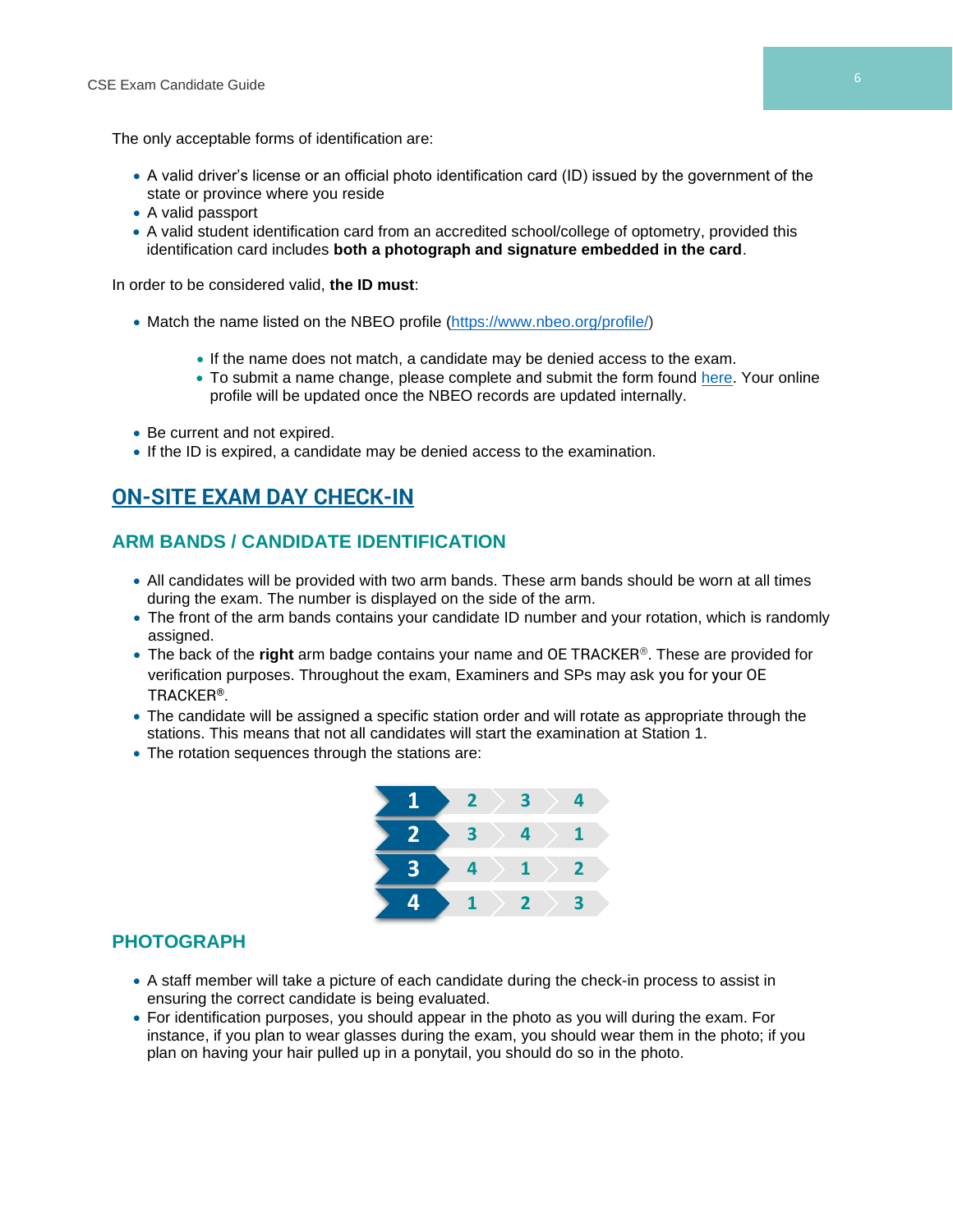The only acceptable forms of identification are:

- A valid driver's license or an official photo identification card (ID) issued by the government of the state or province where you reside
- A valid passport
- A valid student identification card from an accredited school/college of optometry, provided this identification card includes **both a photograph and signature embedded in the card**.

In order to be considered valid, **the ID must**:

- Match the name listed on the NBEO profile [\(https://www.nbeo.org/profile/\)](https://www.nbeo.org/profile/)
	- If the name does not match, a candidate may be denied access to the exam.
	- To submit a name change, please complete and submit the form found [here.](https://www.optometry.org/media/documents/registration/name_change_form_2.pdf) Your online profile will be updated once the NBEO records are updated internally.
- Be current and not expired.
- If the ID is expired, a candidate may be denied access to the examination.

# **ON-SITE EXAM DAY CHECK-IN**

# **ARM BANDS / CANDIDATE IDENTIFICATION**

- All candidates will be provided with two arm bands. These arm bands should be worn at all times during the exam. The number is displayed on the side of the arm.
- The front of the arm bands contains your candidate ID number and your rotation, which is randomly assigned.
- The back of the **right** arm badge contains your name and OE TRACKER®. These are provided for verification purposes. Throughout the exam, Examiners and SPs may ask you for your OE TRACKER®.
- The candidate will be assigned a specific station order and will rotate as appropriate through the stations. This means that not all candidates will start the examination at Station 1.
- The rotation sequences through the stations are:



#### **PHOTOGRAPH**

- A staff member will take a picture of each candidate during the check-in process to assist in ensuring the correct candidate is being evaluated.
- For identification purposes, you should appear in the photo as you will during the exam. For instance, if you plan to wear glasses during the exam, you should wear them in the photo; if you plan on having your hair pulled up in a ponytail, you should do so in the photo.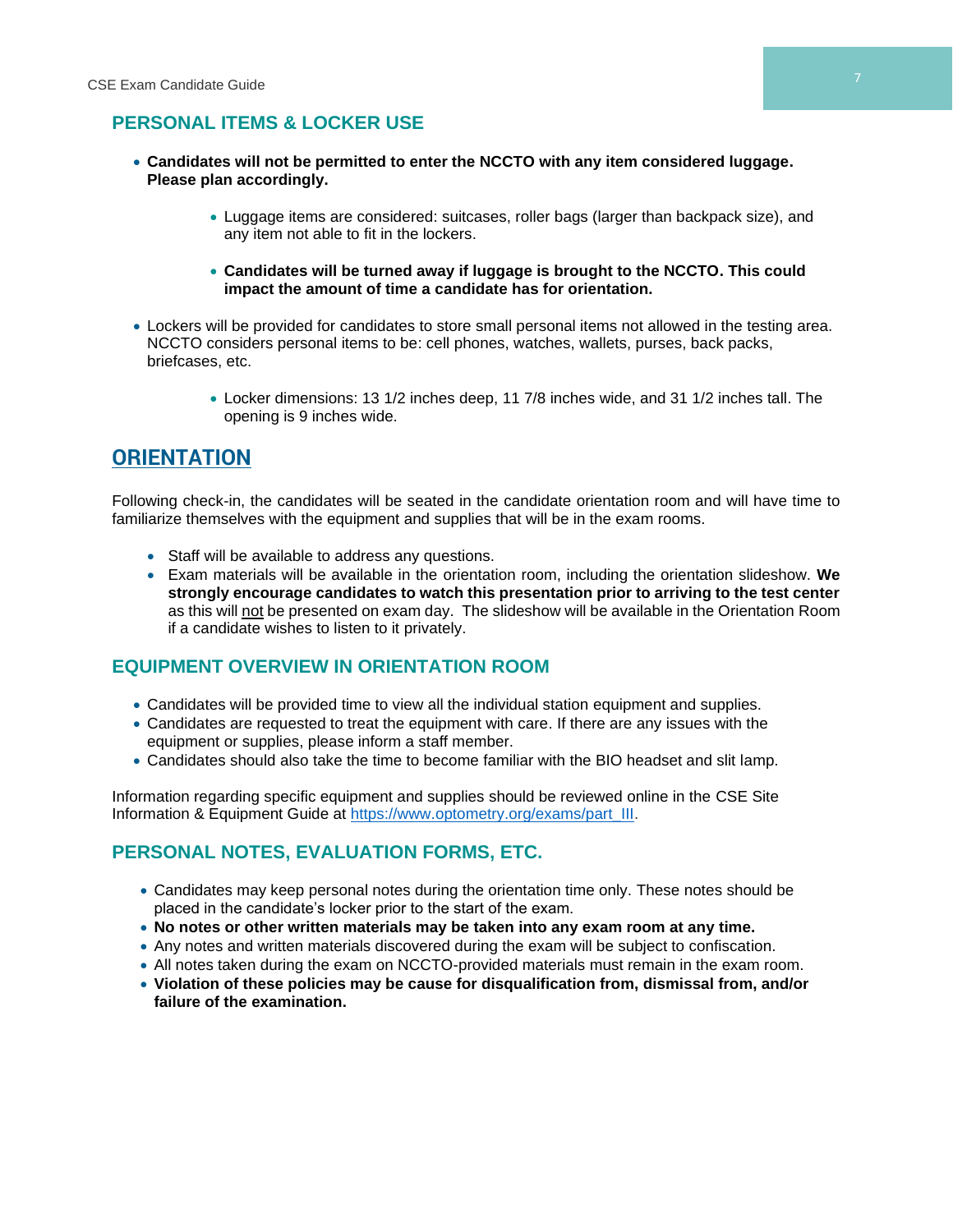# **PERSONAL ITEMS & LOCKER USE**

- **Candidates will not be permitted to enter the NCCTO with any item considered luggage. Please plan accordingly.**
	- Luggage items are considered: suitcases, roller bags (larger than backpack size), and any item not able to fit in the lockers.
	- **Candidates will be turned away if luggage is brought to the NCCTO. This could impact the amount of time a candidate has for orientation.**
- Lockers will be provided for candidates to store small personal items not allowed in the testing area. NCCTO considers personal items to be: cell phones, watches, wallets, purses, back packs, briefcases, etc.
	- Locker dimensions: 13 1/2 inches deep, 11 7/8 inches wide, and 31 1/2 inches tall. The opening is 9 inches wide.

# **ORIENTATION**

Following check-in, the candidates will be seated in the candidate orientation room and will have time to familiarize themselves with the equipment and supplies that will be in the exam rooms.

- Staff will be available to address any questions.
- Exam materials will be available in the orientation room, including the orientation slideshow. **We strongly encourage candidates to watch this presentation prior to arriving to the test center** as this will not be presented on exam day. The slideshow will be available in the Orientation Room if a candidate wishes to listen to it privately.

# **EQUIPMENT OVERVIEW IN ORIENTATION ROOM**

- Candidates will be provided time to view all the individual station equipment and supplies.
- Candidates are requested to treat the equipment with care. If there are any issues with the equipment or supplies, please inform a staff member.
- Candidates should also take the time to become familiar with the BIO headset and slit lamp.

Information regarding specific equipment and supplies should be reviewed online in the CSE Site Information & Equipment Guide at [https://www.optometry.org/exams/part\\_III.](https://www.optometry.org/exams/part_III)

# **PERSONAL NOTES, EVALUATION FORMS, ETC.**

- Candidates may keep personal notes during the orientation time only. These notes should be placed in the candidate's locker prior to the start of the exam.
- **No notes or other written materials may be taken into any exam room at any time.**
- Any notes and written materials discovered during the exam will be subject to confiscation.
- All notes taken during the exam on NCCTO-provided materials must remain in the exam room.
- **Violation of these policies may be cause for disqualification from, dismissal from, and/or failure of the examination.**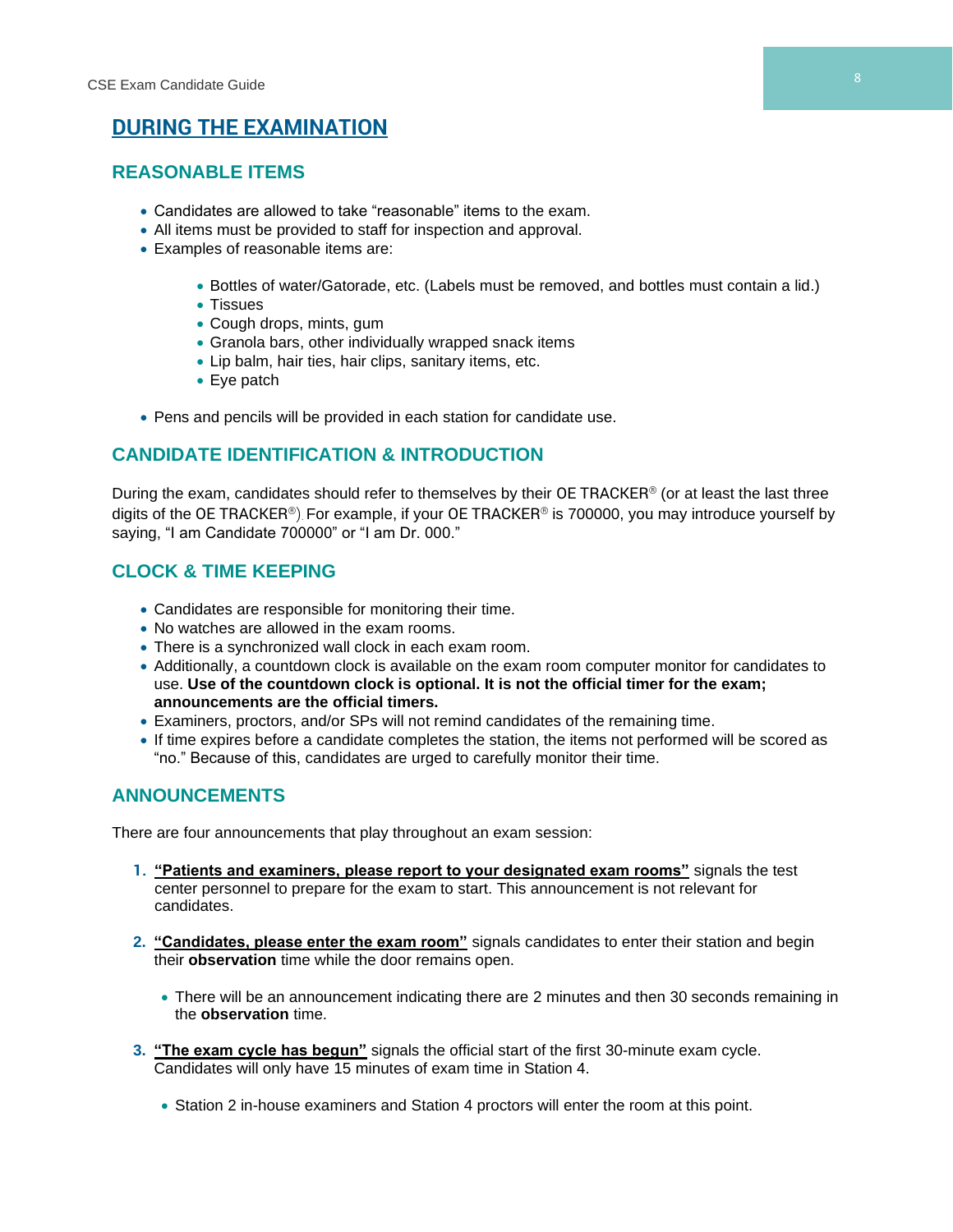# **DURING THE EXAMINATION**

# **REASONABLE ITEMS**

- Candidates are allowed to take "reasonable" items to the exam.
- All items must be provided to staff for inspection and approval.
- Examples of reasonable items are:
	- Bottles of water/Gatorade, etc. (Labels must be removed, and bottles must contain a lid.)
	- Tissues
	- Cough drops, mints, gum
	- Granola bars, other individually wrapped snack items
	- Lip balm, hair ties, hair clips, sanitary items, etc.
	- Eye patch
- Pens and pencils will be provided in each station for candidate use.

# **CANDIDATE IDENTIFICATION & INTRODUCTION**

During the exam, candidates should refer to themselves by their OE TRACKER<sup>®</sup> (or at least the last three digits of the OE TRACKER®). For example, if your OE TRACKER® is 700000, you may introduce yourself by saying, "I am Candidate 700000" or "I am Dr. 000."

# **CLOCK & TIME KEEPING**

- Candidates are responsible for monitoring their time.
- No watches are allowed in the exam rooms.
- There is a synchronized wall clock in each exam room.
- Additionally, a countdown clock is available on the exam room computer monitor for candidates to use. **Use of the countdown clock is optional. It is not the official timer for the exam; announcements are the official timers.**
- Examiners, proctors, and/or SPs will not remind candidates of the remaining time.
- If time expires before a candidate completes the station, the items not performed will be scored as "no." Because of this, candidates are urged to carefully monitor their time.

# **ANNOUNCEMENTS**

There are four announcements that play throughout an exam session:

- **1. "Patients and examiners, please report to your designated exam rooms"** signals the test center personnel to prepare for the exam to start. This announcement is not relevant for candidates.
- **2. "Candidates, please enter the exam room"** signals candidates to enter their station and begin their **observation** time while the door remains open.
	- There will be an announcement indicating there are 2 minutes and then 30 seconds remaining in the **observation** time.
- **3. "The exam cycle has begun"** signals the official start of the first 30-minute exam cycle. Candidates will only have 15 minutes of exam time in Station 4.
	- Station 2 in-house examiners and Station 4 proctors will enter the room at this point.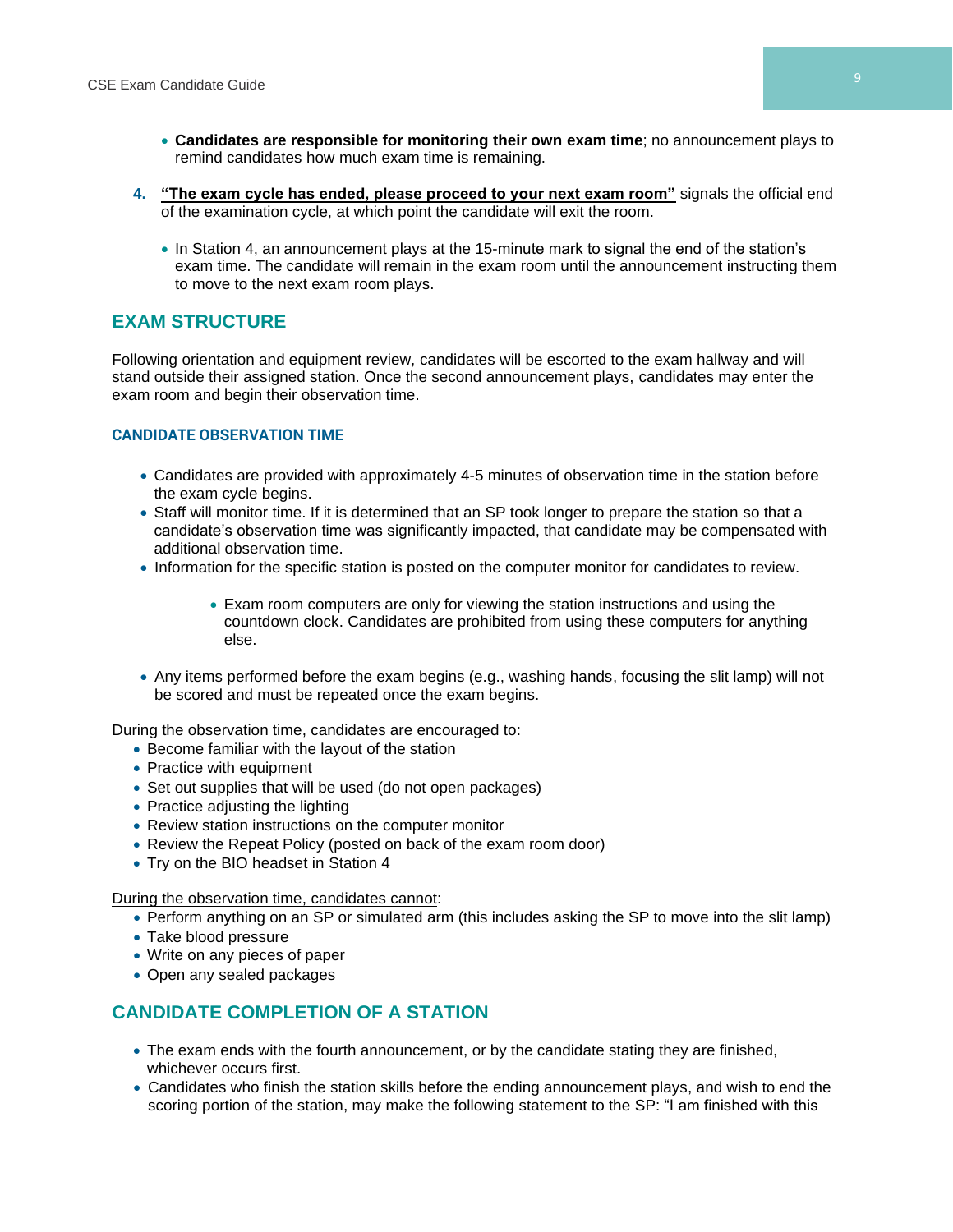- **Candidates are responsible for monitoring their own exam time**; no announcement plays to remind candidates how much exam time is remaining.
- **4. "The exam cycle has ended, please proceed to your next exam room"** signals the official end of the examination cycle, at which point the candidate will exit the room.
	- In Station 4, an announcement plays at the 15-minute mark to signal the end of the station's exam time. The candidate will remain in the exam room until the announcement instructing them to move to the next exam room plays.

# **EXAM STRUCTURE**

Following orientation and equipment review, candidates will be escorted to the exam hallway and will stand outside their assigned station. Once the second announcement plays, candidates may enter the exam room and begin their observation time.

#### **CANDIDATE OBSERVATION TIME**

- Candidates are provided with approximately 4-5 minutes of observation time in the station before the exam cycle begins.
- Staff will monitor time. If it is determined that an SP took longer to prepare the station so that a candidate's observation time was significantly impacted, that candidate may be compensated with additional observation time.
- Information for the specific station is posted on the computer monitor for candidates to review.
	- Exam room computers are only for viewing the station instructions and using the countdown clock. Candidates are prohibited from using these computers for anything else.
- Any items performed before the exam begins (e.g., washing hands, focusing the slit lamp) will not be scored and must be repeated once the exam begins.

During the observation time, candidates are encouraged to:

- Become familiar with the layout of the station
- Practice with equipment
- Set out supplies that will be used (do not open packages)
- Practice adjusting the lighting
- Review station instructions on the computer monitor
- Review the Repeat Policy (posted on back of the exam room door)
- Try on the BIO headset in Station 4

During the observation time, candidates cannot:

- Perform anything on an SP or simulated arm (this includes asking the SP to move into the slit lamp)
- Take blood pressure
- Write on any pieces of paper
- Open any sealed packages

# **CANDIDATE COMPLETION OF A STATION**

- The exam ends with the fourth announcement, or by the candidate stating they are finished, whichever occurs first.
- Candidates who finish the station skills before the ending announcement plays, and wish to end the scoring portion of the station, may make the following statement to the SP: "I am finished with this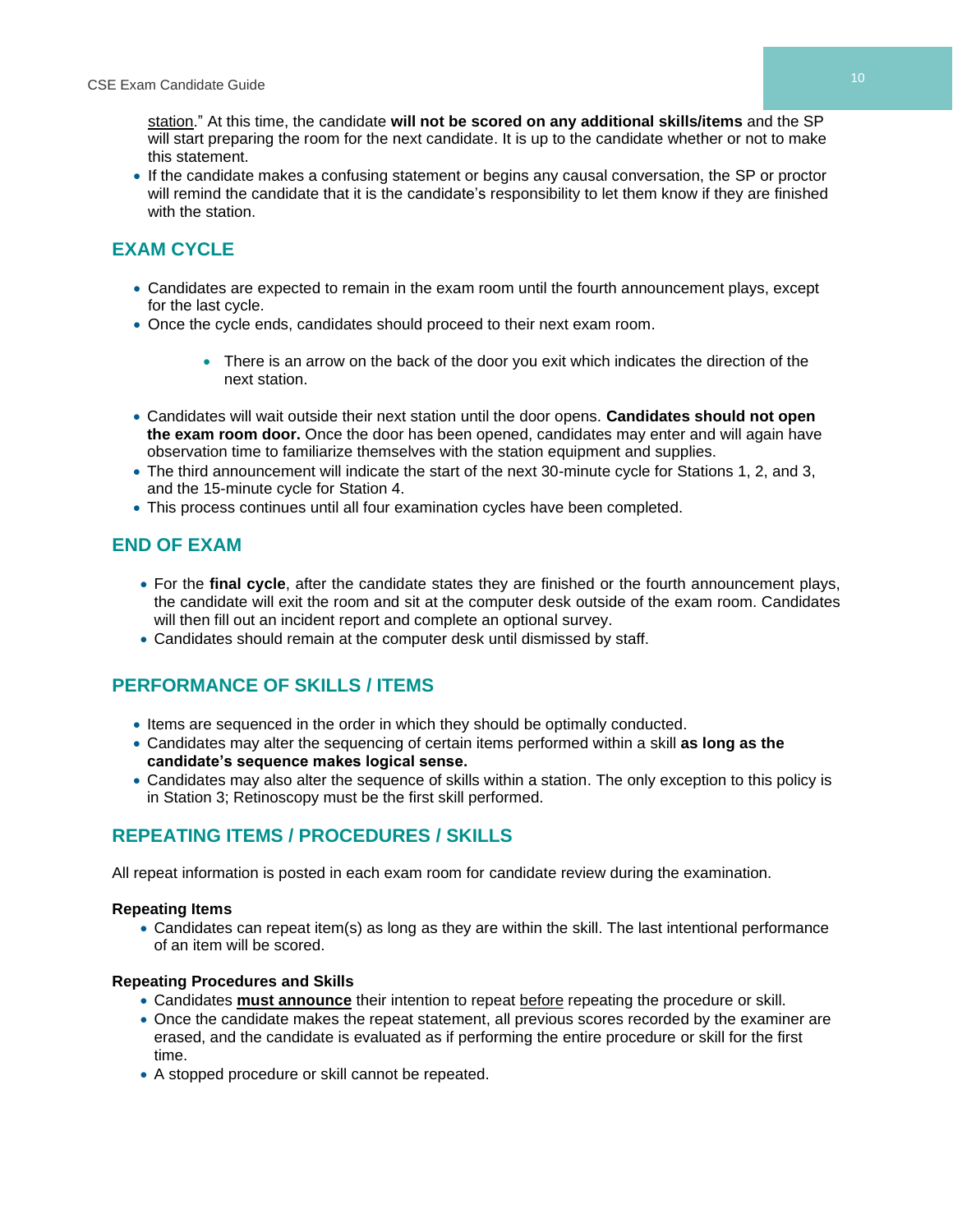station." At this time, the candidate **will not be scored on any additional skills/items** and the SP will start preparing the room for the next candidate. It is up to the candidate whether or not to make this statement.

• If the candidate makes a confusing statement or begins any causal conversation, the SP or proctor will remind the candidate that it is the candidate's responsibility to let them know if they are finished with the station.

# **EXAM CYCLE**

- Candidates are expected to remain in the exam room until the fourth announcement plays, except for the last cycle.
- Once the cycle ends, candidates should proceed to their next exam room.
	- There is an arrow on the back of the door you exit which indicates the direction of the next station.
- Candidates will wait outside their next station until the door opens. **Candidates should not open the exam room door.** Once the door has been opened, candidates may enter and will again have observation time to familiarize themselves with the station equipment and supplies.
- The third announcement will indicate the start of the next 30-minute cycle for Stations 1, 2, and 3, and the 15-minute cycle for Station 4.
- This process continues until all four examination cycles have been completed.

# **END OF EXAM**

- For the **final cycle**, after the candidate states they are finished or the fourth announcement plays, the candidate will exit the room and sit at the computer desk outside of the exam room. Candidates will then fill out an incident report and complete an optional survey.
- Candidates should remain at the computer desk until dismissed by staff.

# **PERFORMANCE OF SKILLS / ITEMS**

- Items are sequenced in the order in which they should be optimally conducted.
- Candidates may alter the sequencing of certain items performed within a skill **as long as the candidate's sequence makes logical sense.**
- Candidates may also alter the sequence of skills within a station. The only exception to this policy is in Station 3; Retinoscopy must be the first skill performed.

# **REPEATING ITEMS / PROCEDURES / SKILLS**

All repeat information is posted in each exam room for candidate review during the examination.

### **Repeating Items**

• Candidates can repeat item(s) as long as they are within the skill. The last intentional performance of an item will be scored.

#### **Repeating Procedures and Skills**

- Candidates **must announce** their intention to repeat before repeating the procedure or skill.
- Once the candidate makes the repeat statement, all previous scores recorded by the examiner are erased, and the candidate is evaluated as if performing the entire procedure or skill for the first time.
- A stopped procedure or skill cannot be repeated.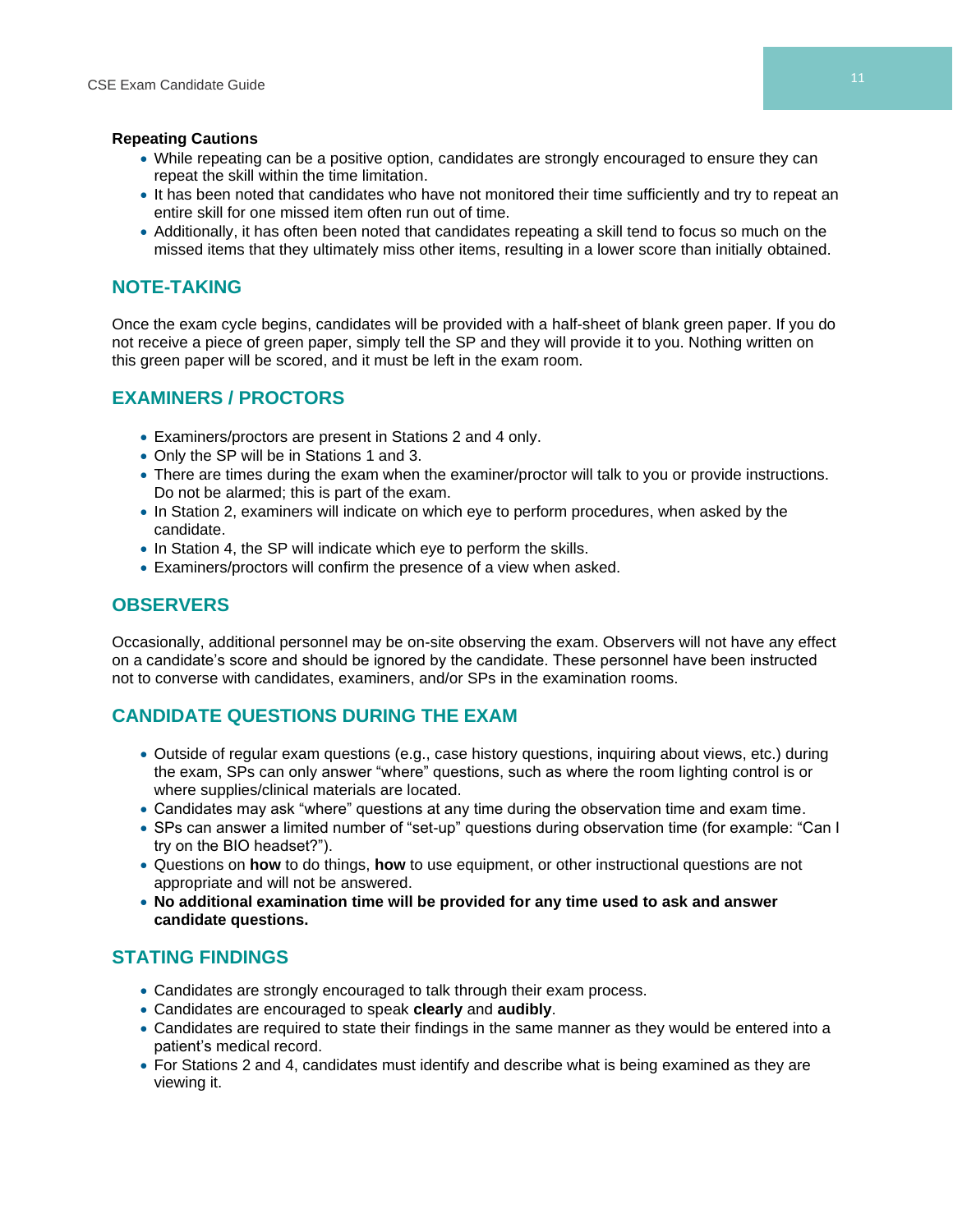#### **Repeating Cautions**

- While repeating can be a positive option, candidates are strongly encouraged to ensure they can repeat the skill within the time limitation.
- It has been noted that candidates who have not monitored their time sufficiently and try to repeat an entire skill for one missed item often run out of time.
- Additionally, it has often been noted that candidates repeating a skill tend to focus so much on the missed items that they ultimately miss other items, resulting in a lower score than initially obtained.

## **NOTE-TAKING**

Once the exam cycle begins, candidates will be provided with a half-sheet of blank green paper. If you do not receive a piece of green paper, simply tell the SP and they will provide it to you. Nothing written on this green paper will be scored, and it must be left in the exam room.

# **EXAMINERS / PROCTORS**

- Examiners/proctors are present in Stations 2 and 4 only.
- Only the SP will be in Stations 1 and 3.
- There are times during the exam when the examiner/proctor will talk to you or provide instructions. Do not be alarmed; this is part of the exam.
- In Station 2, examiners will indicate on which eye to perform procedures, when asked by the candidate.
- In Station 4, the SP will indicate which eye to perform the skills.
- Examiners/proctors will confirm the presence of a view when asked.

# **OBSERVERS**

Occasionally, additional personnel may be on-site observing the exam. Observers will not have any effect on a candidate's score and should be ignored by the candidate. These personnel have been instructed not to converse with candidates, examiners, and/or SPs in the examination rooms.

# **CANDIDATE QUESTIONS DURING THE EXAM**

- Outside of regular exam questions (e.g., case history questions, inquiring about views, etc.) during the exam, SPs can only answer "where" questions, such as where the room lighting control is or where supplies/clinical materials are located.
- Candidates may ask "where" questions at any time during the observation time and exam time.
- SPs can answer a limited number of "set-up" questions during observation time (for example: "Can I try on the BIO headset?").
- Questions on **how** to do things, **how** to use equipment, or other instructional questions are not appropriate and will not be answered.
- **No additional examination time will be provided for any time used to ask and answer candidate questions.**

# **STATING FINDINGS**

- Candidates are strongly encouraged to talk through their exam process.
- Candidates are encouraged to speak **clearly** and **audibly**.
- Candidates are required to state their findings in the same manner as they would be entered into a patient's medical record.
- For Stations 2 and 4, candidates must identify and describe what is being examined as they are viewing it.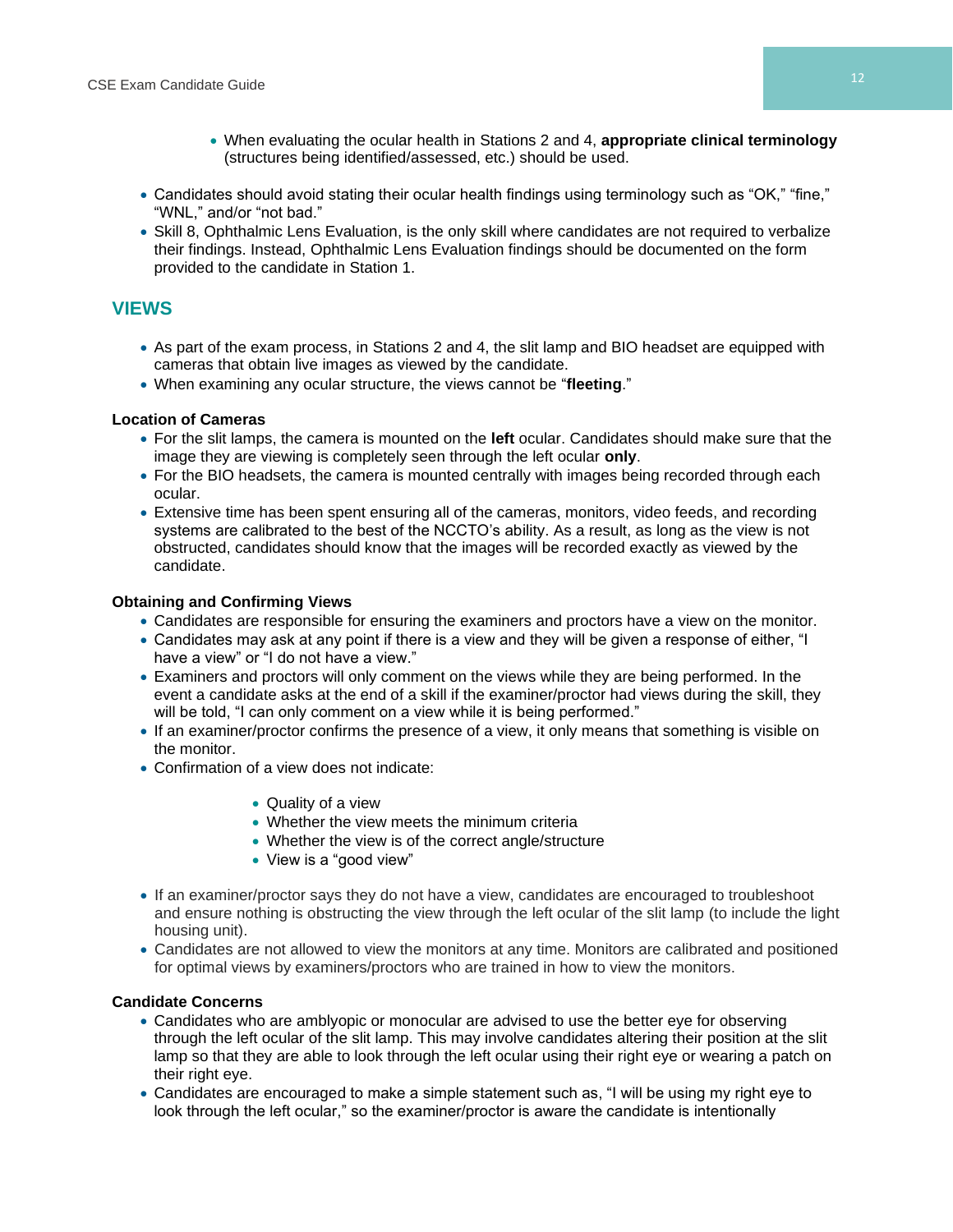- When evaluating the ocular health in Stations 2 and 4, **appropriate clinical terminology** (structures being identified/assessed, etc.) should be used.
- Candidates should avoid stating their ocular health findings using terminology such as "OK," "fine," "WNL," and/or "not bad."
- Skill 8, Ophthalmic Lens Evaluation, is the only skill where candidates are not required to verbalize their findings. Instead, Ophthalmic Lens Evaluation findings should be documented on the form provided to the candidate in Station 1.

### **VIEWS**

- As part of the exam process, in Stations 2 and 4, the slit lamp and BIO headset are equipped with cameras that obtain live images as viewed by the candidate.
- When examining any ocular structure, the views cannot be "**fleeting**."

#### **Location of Cameras**

- For the slit lamps, the camera is mounted on the **left** ocular. Candidates should make sure that the image they are viewing is completely seen through the left ocular **only**.
- For the BIO headsets, the camera is mounted centrally with images being recorded through each ocular.
- Extensive time has been spent ensuring all of the cameras, monitors, video feeds, and recording systems are calibrated to the best of the NCCTO's ability. As a result, as long as the view is not obstructed, candidates should know that the images will be recorded exactly as viewed by the candidate.

#### **Obtaining and Confirming Views**

- Candidates are responsible for ensuring the examiners and proctors have a view on the monitor.
- Candidates may ask at any point if there is a view and they will be given a response of either, "I have a view" or "I do not have a view."
- Examiners and proctors will only comment on the views while they are being performed. In the event a candidate asks at the end of a skill if the examiner/proctor had views during the skill, they will be told, "I can only comment on a view while it is being performed."
- If an examiner/proctor confirms the presence of a view, it only means that something is visible on the monitor.
- Confirmation of a view does not indicate:
	- Quality of a view
	- Whether the view meets the minimum criteria
	- Whether the view is of the correct angle/structure
	- View is a "good view"
- If an examiner/proctor says they do not have a view, candidates are encouraged to troubleshoot and ensure nothing is obstructing the view through the left ocular of the slit lamp (to include the light housing unit).
- Candidates are not allowed to view the monitors at any time. Monitors are calibrated and positioned for optimal views by examiners/proctors who are trained in how to view the monitors.

#### **Candidate Concerns**

- Candidates who are amblyopic or monocular are advised to use the better eye for observing through the left ocular of the slit lamp. This may involve candidates altering their position at the slit lamp so that they are able to look through the left ocular using their right eye or wearing a patch on their right eye.
- Candidates are encouraged to make a simple statement such as, "I will be using my right eye to look through the left ocular," so the examiner/proctor is aware the candidate is intentionally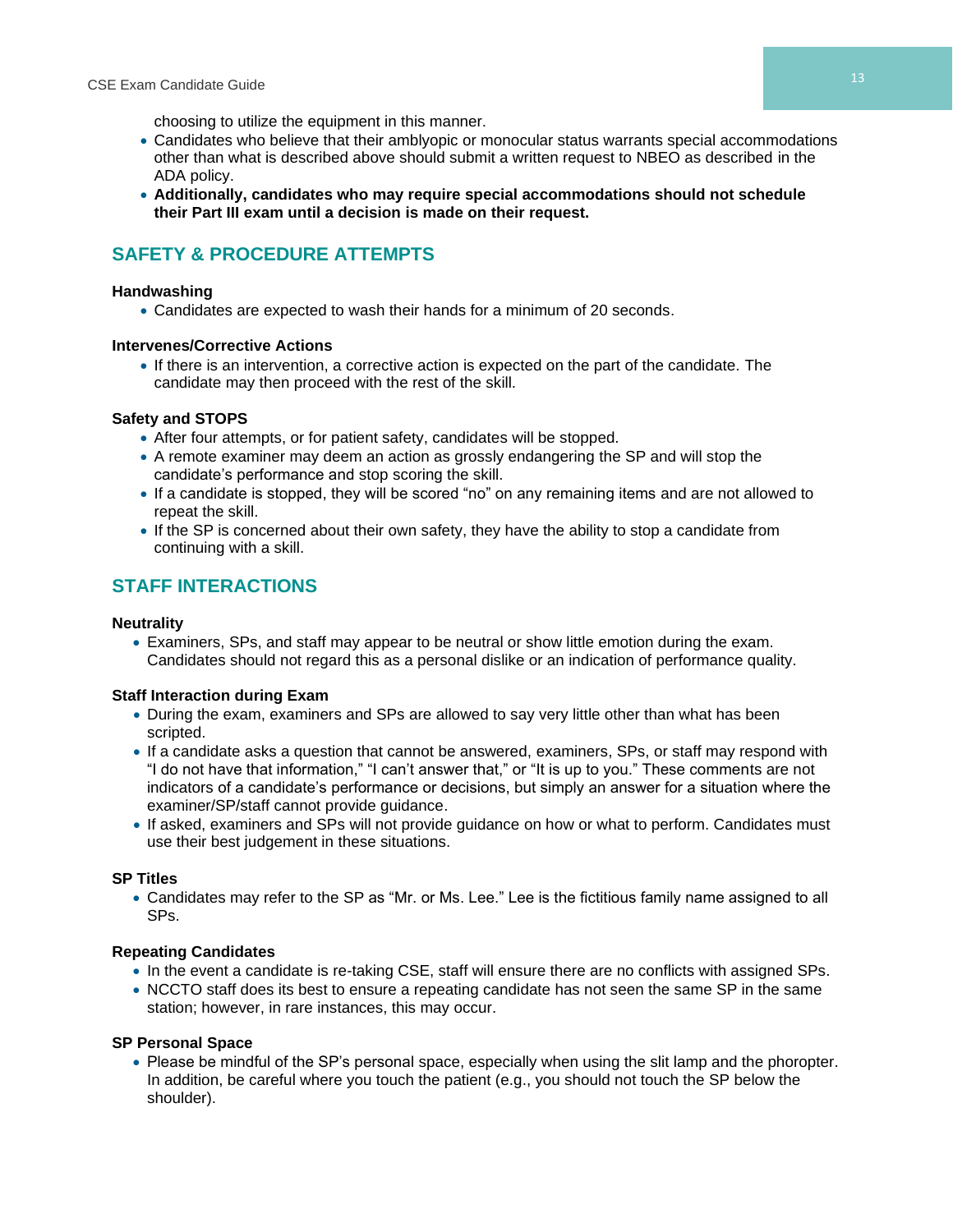choosing to utilize the equipment in this manner.

- Candidates who believe that their amblyopic or monocular status warrants special accommodations other than what is described above should submit a written request to NBEO as described in the ADA policy.
- **Additionally, candidates who may require special accommodations should not schedule their Part III exam until a decision is made on their request.**

# **SAFETY & PROCEDURE ATTEMPTS**

#### **Handwashing**

• Candidates are expected to wash their hands for a minimum of 20 seconds.

#### **Intervenes/Corrective Actions**

• If there is an intervention, a corrective action is expected on the part of the candidate. The candidate may then proceed with the rest of the skill.

#### **Safety and STOPS**

- After four attempts, or for patient safety, candidates will be stopped.
- A remote examiner may deem an action as grossly endangering the SP and will stop the candidate's performance and stop scoring the skill.
- If a candidate is stopped, they will be scored "no" on any remaining items and are not allowed to repeat the skill.
- If the SP is concerned about their own safety, they have the ability to stop a candidate from continuing with a skill.

# **STAFF INTERACTIONS**

#### **Neutrality**

• Examiners, SPs, and staff may appear to be neutral or show little emotion during the exam. Candidates should not regard this as a personal dislike or an indication of performance quality.

#### **Staff Interaction during Exam**

- During the exam, examiners and SPs are allowed to say very little other than what has been scripted.
- If a candidate asks a question that cannot be answered, examiners, SPs, or staff may respond with "I do not have that information," "I can't answer that," or "It is up to you." These comments are not indicators of a candidate's performance or decisions, but simply an answer for a situation where the examiner/SP/staff cannot provide guidance.
- If asked, examiners and SPs will not provide guidance on how or what to perform. Candidates must use their best judgement in these situations.

#### **SP Titles**

• Candidates may refer to the SP as "Mr. or Ms. Lee." Lee is the fictitious family name assigned to all SPs.

#### **Repeating Candidates**

- In the event a candidate is re-taking CSE, staff will ensure there are no conflicts with assigned SPs.
- NCCTO staff does its best to ensure a repeating candidate has not seen the same SP in the same station; however, in rare instances, this may occur.

#### **SP Personal Space**

• Please be mindful of the SP's personal space, especially when using the slit lamp and the phoropter. In addition, be careful where you touch the patient (e.g., you should not touch the SP below the shoulder).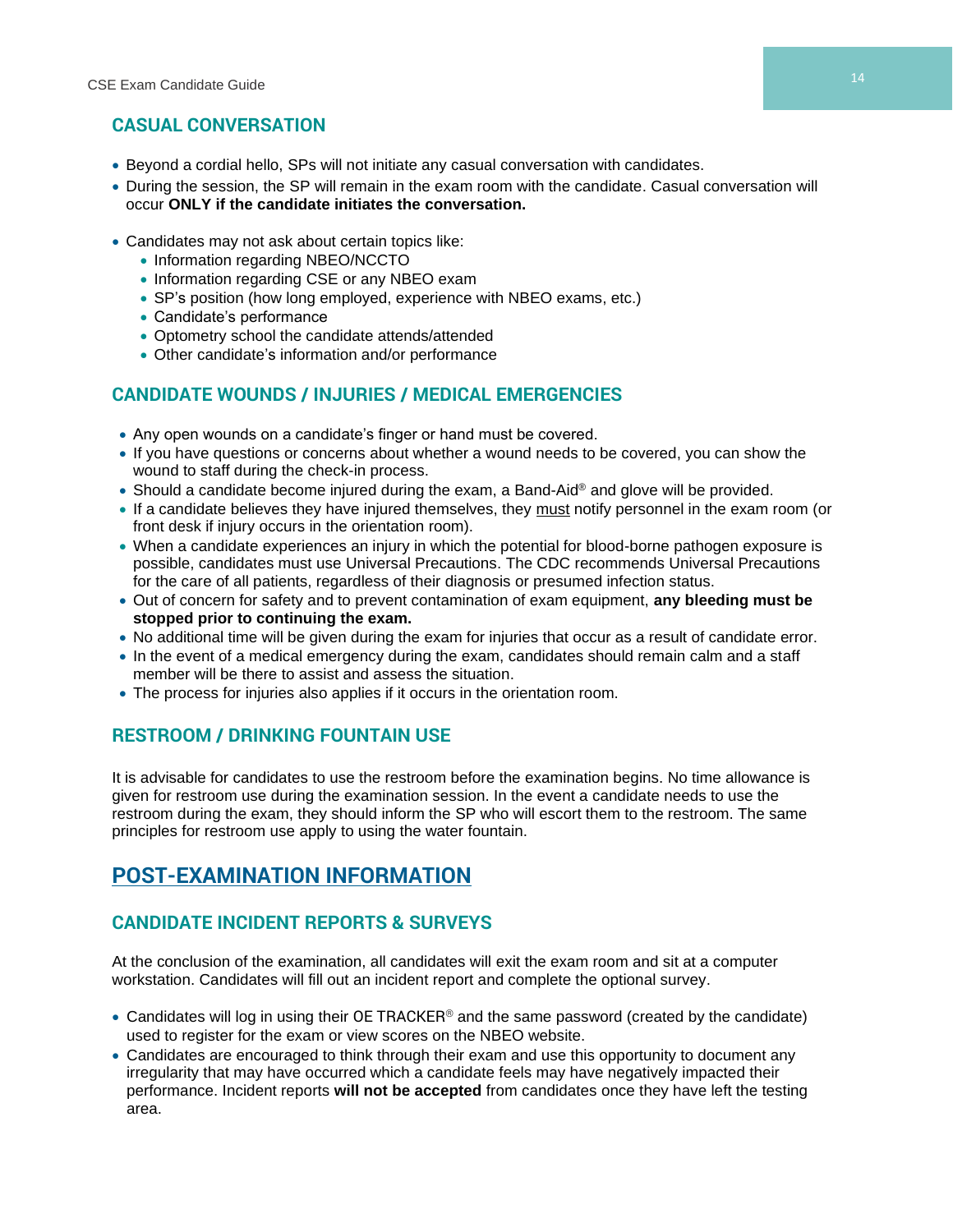# **CASUAL CONVERSATION**

- Beyond a cordial hello, SPs will not initiate any casual conversation with candidates.
- During the session, the SP will remain in the exam room with the candidate. Casual conversation will occur **ONLY if the candidate initiates the conversation.**
- Candidates may not ask about certain topics like:
	- Information regarding NBEO/NCCTO
	- Information regarding CSE or any NBEO exam
	- SP's position (how long employed, experience with NBEO exams, etc.)
	- Candidate's performance
	- Optometry school the candidate attends/attended
	- Other candidate's information and/or performance

# **CANDIDATE WOUNDS / INJURIES / MEDICAL EMERGENCIES**

- Any open wounds on a candidate's finger or hand must be covered.
- If you have questions or concerns about whether a wound needs to be covered, you can show the wound to staff during the check-in process.
- Should a candidate become injured during the exam, a Band-Aid® and glove will be provided.
- If a candidate believes they have injured themselves, they must notify personnel in the exam room (or front desk if injury occurs in the orientation room).
- When a candidate experiences an injury in which the potential for blood-borne pathogen exposure is possible, candidates must use Universal Precautions. The CDC recommends Universal Precautions for the care of all patients, regardless of their diagnosis or presumed infection status.
- Out of concern for safety and to prevent contamination of exam equipment, **any bleeding must be stopped prior to continuing the exam.**
- No additional time will be given during the exam for injuries that occur as a result of candidate error.
- In the event of a medical emergency during the exam, candidates should remain calm and a staff member will be there to assist and assess the situation.
- The process for injuries also applies if it occurs in the orientation room.

# **RESTROOM / DRINKING FOUNTAIN USE**

It is advisable for candidates to use the restroom before the examination begins. No time allowance is given for restroom use during the examination session. In the event a candidate needs to use the restroom during the exam, they should inform the SP who will escort them to the restroom. The same principles for restroom use apply to using the water fountain.

# **POST-EXAMINATION INFORMATION**

# **CANDIDATE INCIDENT REPORTS & SURVEYS**

At the conclusion of the examination, all candidates will exit the exam room and sit at a computer workstation. Candidates will fill out an incident report and complete the optional survey.

- Candidates will log in using their OE TRACKER<sup>®</sup> and the same password (created by the candidate) used to register for the exam or view scores on the NBEO website.
- Candidates are encouraged to think through their exam and use this opportunity to document any irregularity that may have occurred which a candidate feels may have negatively impacted their performance. Incident reports **will not be accepted** from candidates once they have left the testing area.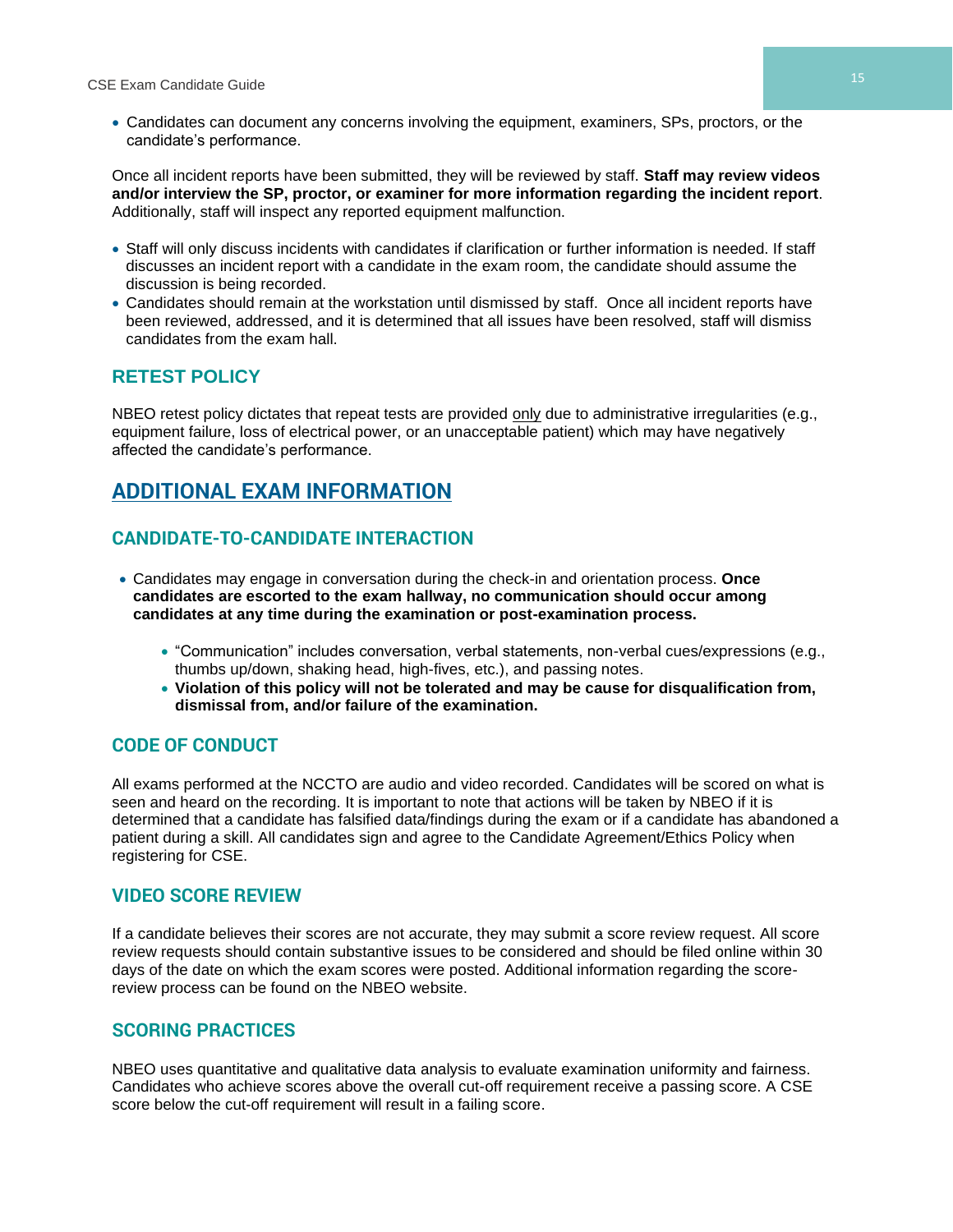• Candidates can document any concerns involving the equipment, examiners, SPs, proctors, or the candidate's performance.

Once all incident reports have been submitted, they will be reviewed by staff. **Staff may review videos and/or interview the SP, proctor, or examiner for more information regarding the incident report**. Additionally, staff will inspect any reported equipment malfunction.

- Staff will only discuss incidents with candidates if clarification or further information is needed. If staff discusses an incident report with a candidate in the exam room, the candidate should assume the discussion is being recorded.
- Candidates should remain at the workstation until dismissed by staff. Once all incident reports have been reviewed, addressed, and it is determined that all issues have been resolved, staff will dismiss candidates from the exam hall.

# **RETEST POLICY**

NBEO retest policy dictates that repeat tests are provided only due to administrative irregularities (e.g., equipment failure, loss of electrical power, or an unacceptable patient) which may have negatively affected the candidate's performance.

# **ADDITIONAL EXAM INFORMATION**

# **CANDIDATE-TO-CANDIDATE INTERACTION**

- Candidates may engage in conversation during the check-in and orientation process. **Once candidates are escorted to the exam hallway, no communication should occur among candidates at any time during the examination or post-examination process.**
	- "Communication" includes conversation, verbal statements, non-verbal cues/expressions (e.g., thumbs up/down, shaking head, high-fives, etc.), and passing notes.
	- **Violation of this policy will not be tolerated and may be cause for disqualification from, dismissal from, and/or failure of the examination.**

# **CODE OF CONDUCT**

All exams performed at the NCCTO are audio and video recorded. Candidates will be scored on what is seen and heard on the recording. It is important to note that actions will be taken by NBEO if it is determined that a candidate has falsified data/findings during the exam or if a candidate has abandoned a patient during a skill. All candidates sign and agree to the Candidate Agreement/Ethics Policy when registering for CSE.

### **VIDEO SCORE REVIEW**

If a candidate believes their scores are not accurate, they may submit a score review request. All score review requests should contain substantive issues to be considered and should be filed online within 30 days of the date on which the exam scores were posted. Additional information regarding the scorereview process can be found on the NBEO website.

# **SCORING PRACTICES**

NBEO uses quantitative and qualitative data analysis to evaluate examination uniformity and fairness. Candidates who achieve scores above the overall cut-off requirement receive a passing score. A CSE score below the cut-off requirement will result in a failing score.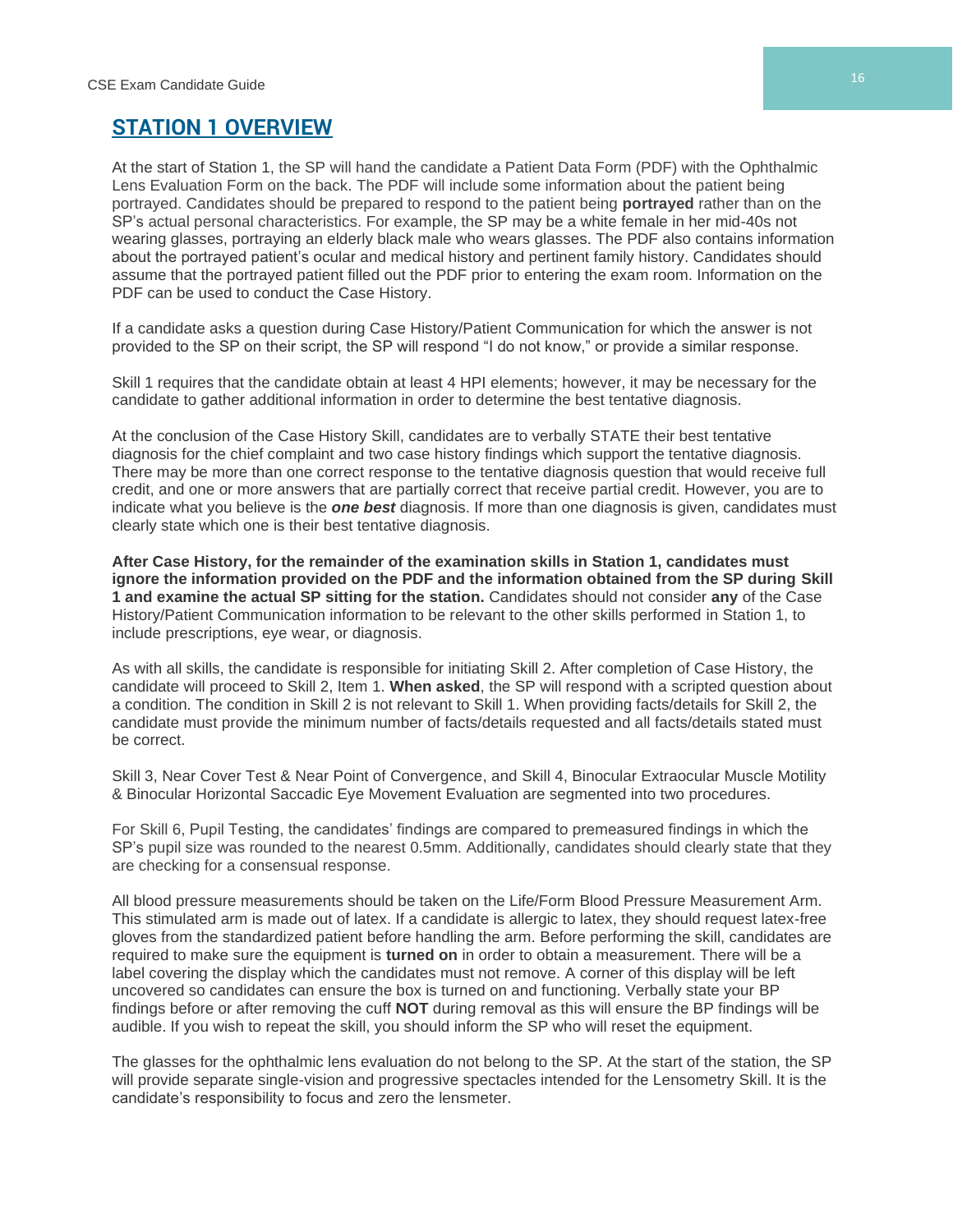# **STATION 1 OVERVIEW**

At the start of Station 1, the SP will hand the candidate a Patient Data Form (PDF) with the Ophthalmic Lens Evaluation Form on the back. The PDF will include some information about the patient being portrayed. Candidates should be prepared to respond to the patient being **portrayed** rather than on the SP's actual personal characteristics. For example, the SP may be a white female in her mid-40s not wearing glasses, portraying an elderly black male who wears glasses. The PDF also contains information about the portrayed patient's ocular and medical history and pertinent family history. Candidates should assume that the portrayed patient filled out the PDF prior to entering the exam room. Information on the PDF can be used to conduct the Case History.

If a candidate asks a question during Case History/Patient Communication for which the answer is not provided to the SP on their script, the SP will respond "I do not know," or provide a similar response.

Skill 1 requires that the candidate obtain at least 4 HPI elements; however, it may be necessary for the candidate to gather additional information in order to determine the best tentative diagnosis.

At the conclusion of the Case History Skill, candidates are to verbally STATE their best tentative diagnosis for the chief complaint and two case history findings which support the tentative diagnosis. There may be more than one correct response to the tentative diagnosis question that would receive full credit, and one or more answers that are partially correct that receive partial credit. However, you are to indicate what you believe is the *one best* diagnosis. If more than one diagnosis is given, candidates must clearly state which one is their best tentative diagnosis.

**After Case History, for the remainder of the examination skills in Station 1, candidates must ignore the information provided on the PDF and the information obtained from the SP during Skill 1 and examine the actual SP sitting for the station.** Candidates should not consider **any** of the Case History/Patient Communication information to be relevant to the other skills performed in Station 1, to include prescriptions, eye wear, or diagnosis.

As with all skills, the candidate is responsible for initiating Skill 2. After completion of Case History, the candidate will proceed to Skill 2, Item 1. **When asked**, the SP will respond with a scripted question about a condition. The condition in Skill 2 is not relevant to Skill 1. When providing facts/details for Skill 2, the candidate must provide the minimum number of facts/details requested and all facts/details stated must be correct.

Skill 3, Near Cover Test & Near Point of Convergence, and Skill 4, Binocular Extraocular Muscle Motility & Binocular Horizontal Saccadic Eye Movement Evaluation are segmented into two procedures.

For Skill 6, Pupil Testing, the candidates' findings are compared to premeasured findings in which the SP's pupil size was rounded to the nearest 0.5mm. Additionally, candidates should clearly state that they are checking for a consensual response.

All blood pressure measurements should be taken on the Life/Form Blood Pressure Measurement Arm. This stimulated arm is made out of latex. If a candidate is allergic to latex, they should request latex-free gloves from the standardized patient before handling the arm. Before performing the skill, candidates are required to make sure the equipment is **turned on** in order to obtain a measurement. There will be a label covering the display which the candidates must not remove. A corner of this display will be left uncovered so candidates can ensure the box is turned on and functioning. Verbally state your BP findings before or after removing the cuff **NOT** during removal as this will ensure the BP findings will be audible. If you wish to repeat the skill, you should inform the SP who will reset the equipment.

The glasses for the ophthalmic lens evaluation do not belong to the SP. At the start of the station, the SP will provide separate single-vision and progressive spectacles intended for the Lensometry Skill. It is the candidate's responsibility to focus and zero the lensmeter.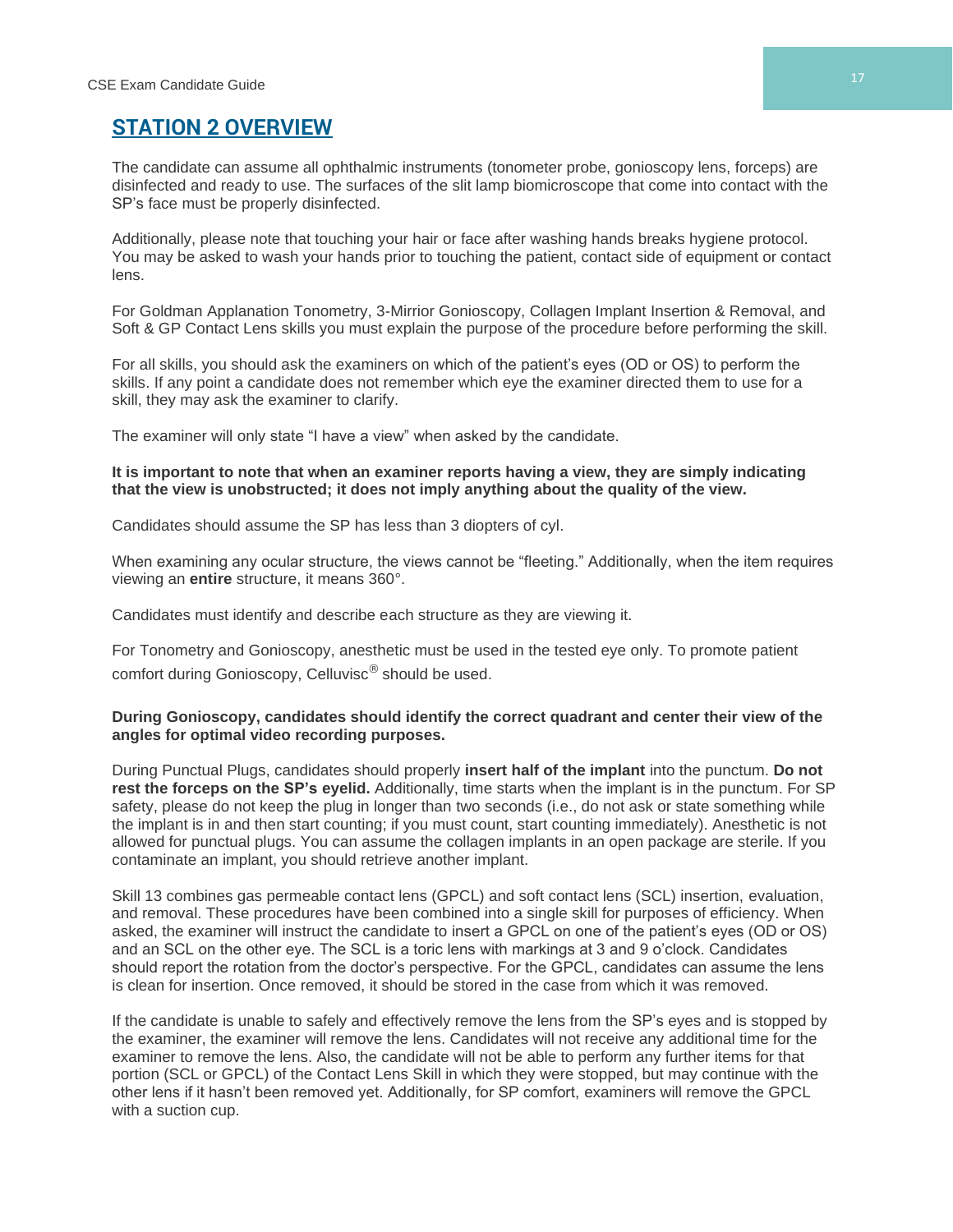# **STATION 2 OVERVIEW**

The candidate can assume all ophthalmic instruments (tonometer probe, gonioscopy lens, forceps) are disinfected and ready to use. The surfaces of the slit lamp biomicroscope that come into contact with the SP's face must be properly disinfected.

Additionally, please note that touching your hair or face after washing hands breaks hygiene protocol. You may be asked to wash your hands prior to touching the patient, contact side of equipment or contact lens.

For Goldman Applanation Tonometry, 3-Mirrior Gonioscopy, Collagen Implant Insertion & Removal, and Soft & GP Contact Lens skills you must explain the purpose of the procedure before performing the skill.

For all skills, you should ask the examiners on which of the patient's eyes (OD or OS) to perform the skills. If any point a candidate does not remember which eye the examiner directed them to use for a skill, they may ask the examiner to clarify.

The examiner will only state "I have a view" when asked by the candidate.

#### **It is important to note that when an examiner reports having a view, they are simply indicating that the view is unobstructed; it does not imply anything about the quality of the view.**

Candidates should assume the SP has less than 3 diopters of cyl.

When examining any ocular structure, the views cannot be "fleeting." Additionally, when the item requires viewing an **entire** structure, it means 360°.

Candidates must identify and describe each structure as they are viewing it.

For Tonometry and Gonioscopy, anesthetic must be used in the tested eye only. To promote patient comfort during Gonioscopy, Celluvisc® should be used.

#### **During Gonioscopy, candidates should identify the correct quadrant and center their view of the angles for optimal video recording purposes.**

During Punctual Plugs, candidates should properly **insert half of the implant** into the punctum. **Do not rest the forceps on the SP's eyelid.** Additionally, time starts when the implant is in the punctum. For SP safety, please do not keep the plug in longer than two seconds (i.e., do not ask or state something while the implant is in and then start counting; if you must count, start counting immediately). Anesthetic is not allowed for punctual plugs. You can assume the collagen implants in an open package are sterile. If you contaminate an implant, you should retrieve another implant.

Skill 13 combines gas permeable contact lens (GPCL) and soft contact lens (SCL) insertion, evaluation, and removal. These procedures have been combined into a single skill for purposes of efficiency. When asked, the examiner will instruct the candidate to insert a GPCL on one of the patient's eyes (OD or OS) and an SCL on the other eye. The SCL is a toric lens with markings at 3 and 9 o'clock. Candidates should report the rotation from the doctor's perspective. For the GPCL, candidates can assume the lens is clean for insertion. Once removed, it should be stored in the case from which it was removed.

If the candidate is unable to safely and effectively remove the lens from the SP's eyes and is stopped by the examiner, the examiner will remove the lens. Candidates will not receive any additional time for the examiner to remove the lens. Also, the candidate will not be able to perform any further items for that portion (SCL or GPCL) of the Contact Lens Skill in which they were stopped, but may continue with the other lens if it hasn't been removed yet. Additionally, for SP comfort, examiners will remove the GPCL with a suction cup.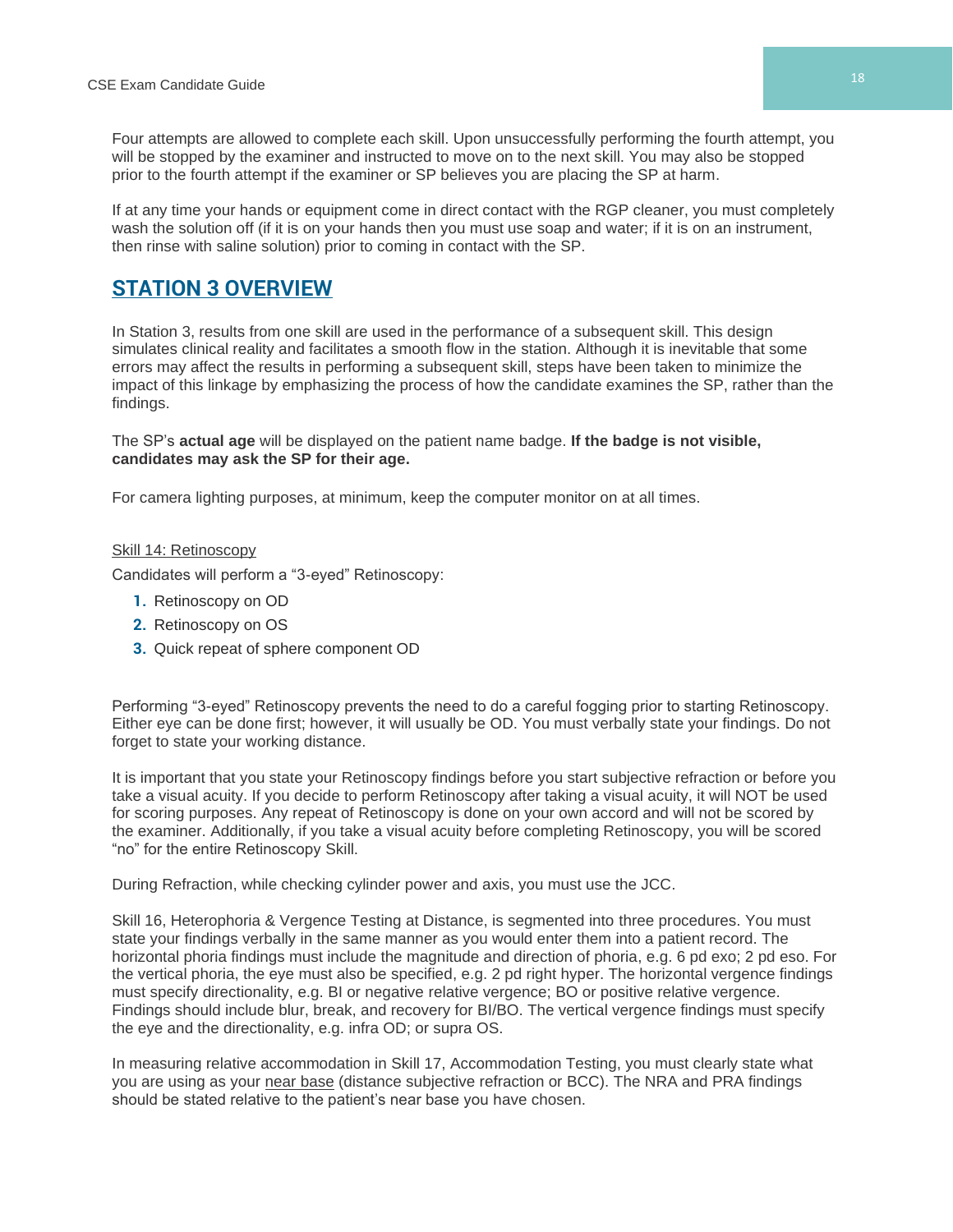Four attempts are allowed to complete each skill. Upon unsuccessfully performing the fourth attempt, you will be stopped by the examiner and instructed to move on to the next skill. You may also be stopped prior to the fourth attempt if the examiner or SP believes you are placing the SP at harm.

If at any time your hands or equipment come in direct contact with the RGP cleaner, you must completely wash the solution off (if it is on your hands then you must use soap and water; if it is on an instrument, then rinse with saline solution) prior to coming in contact with the SP.

# **STATION 3 OVERVIEW**

In Station 3, results from one skill are used in the performance of a subsequent skill. This design simulates clinical reality and facilitates a smooth flow in the station. Although it is inevitable that some errors may affect the results in performing a subsequent skill, steps have been taken to minimize the impact of this linkage by emphasizing the process of how the candidate examines the SP, rather than the findings.

The SP's **actual age** will be displayed on the patient name badge. **If the badge is not visible, candidates may ask the SP for their age.**

For camera lighting purposes, at minimum, keep the computer monitor on at all times.

#### Skill 14: Retinoscopy

Candidates will perform a "3-eyed" Retinoscopy:

- **1.** Retinoscopy on OD
- **2.** Retinoscopy on OS
- **3.** Quick repeat of sphere component OD

Performing "3-eyed" Retinoscopy prevents the need to do a careful fogging prior to starting Retinoscopy. Either eye can be done first; however, it will usually be OD. You must verbally state your findings. Do not forget to state your working distance.

It is important that you state your Retinoscopy findings before you start subjective refraction or before you take a visual acuity. If you decide to perform Retinoscopy after taking a visual acuity, it will NOT be used for scoring purposes. Any repeat of Retinoscopy is done on your own accord and will not be scored by the examiner. Additionally, if you take a visual acuity before completing Retinoscopy, you will be scored "no" for the entire Retinoscopy Skill.

During Refraction, while checking cylinder power and axis, you must use the JCC.

Skill 16, Heterophoria & Vergence Testing at Distance, is segmented into three procedures. You must state your findings verbally in the same manner as you would enter them into a patient record. The horizontal phoria findings must include the magnitude and direction of phoria, e.g. 6 pd exo; 2 pd eso. For the vertical phoria, the eye must also be specified, e.g. 2 pd right hyper. The horizontal vergence findings must specify directionality, e.g. BI or negative relative vergence; BO or positive relative vergence. Findings should include blur, break, and recovery for BI/BO. The vertical vergence findings must specify the eye and the directionality, e.g. infra OD; or supra OS.

In measuring relative accommodation in Skill 17, Accommodation Testing, you must clearly state what you are using as your near base (distance subjective refraction or BCC). The NRA and PRA findings should be stated relative to the patient's near base you have chosen.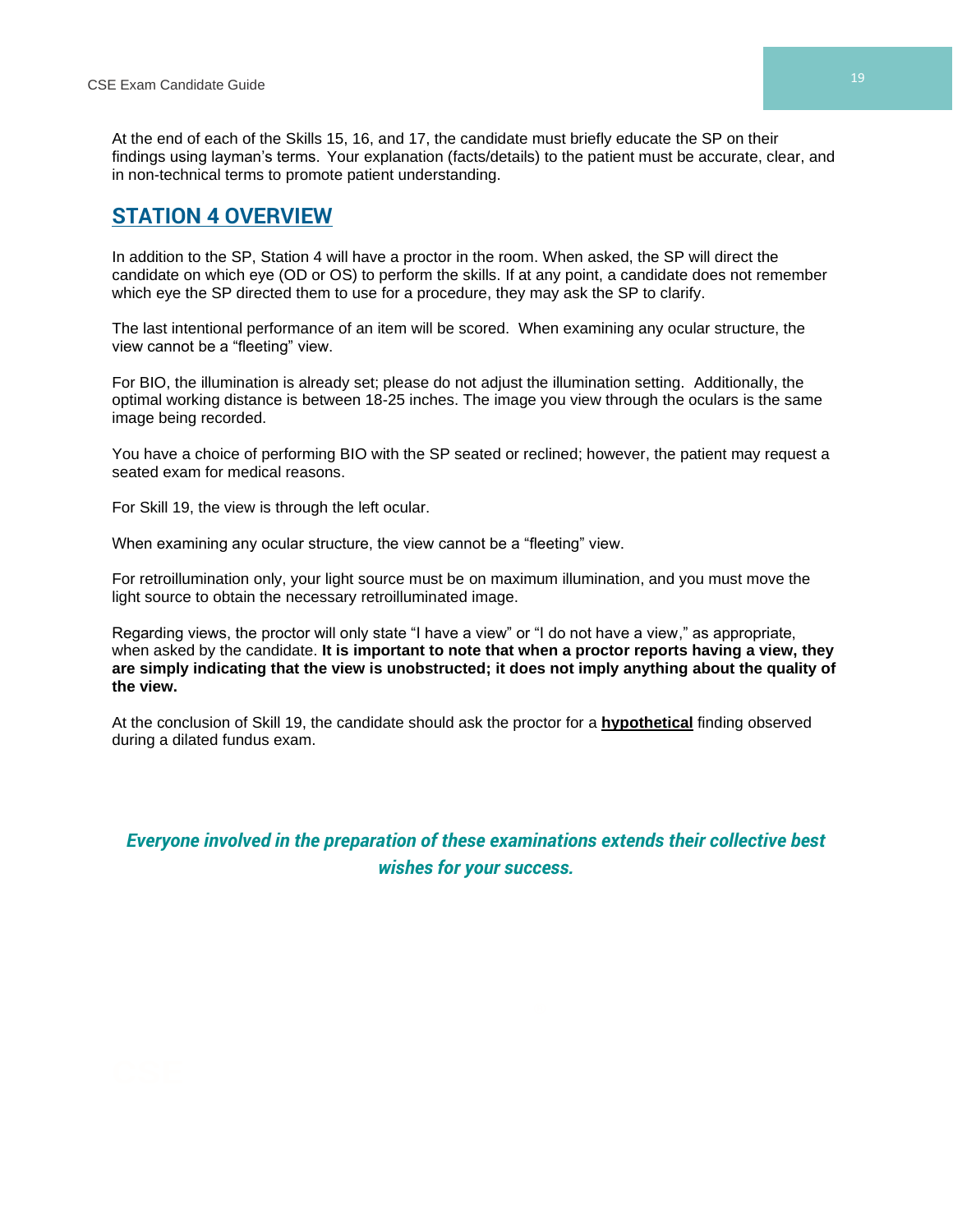At the end of each of the Skills 15, 16, and 17, the candidate must briefly educate the SP on their findings using layman's terms. Your explanation (facts/details) to the patient must be accurate, clear, and in non-technical terms to promote patient understanding.

# **STATION 4 OVERVIEW**

In addition to the SP, Station 4 will have a proctor in the room. When asked, the SP will direct the candidate on which eye (OD or OS) to perform the skills. If at any point, a candidate does not remember which eye the SP directed them to use for a procedure, they may ask the SP to clarify.

The last intentional performance of an item will be scored. When examining any ocular structure, the view cannot be a "fleeting" view.

For BIO, the illumination is already set; please do not adjust the illumination setting. Additionally, the optimal working distance is between 18-25 inches. The image you view through the oculars is the same image being recorded.

You have a choice of performing BIO with the SP seated or reclined; however, the patient may request a seated exam for medical reasons.

For Skill 19, the view is through the left ocular.

When examining any ocular structure, the view cannot be a "fleeting" view.

For retroillumination only, your light source must be on maximum illumination, and you must move the light source to obtain the necessary retroilluminated image.

Regarding views, the proctor will only state "I have a view" or "I do not have a view," as appropriate, when asked by the candidate. **It is important to note that when a proctor reports having a view, they are simply indicating that the view is unobstructed; it does not imply anything about the quality of the view.** 

At the conclusion of Skill 19, the candidate should ask the proctor for a **hypothetical** finding observed during a dilated fundus exam.

*Everyone involved in the preparation of these examinations extends their collective best wishes for your success.*

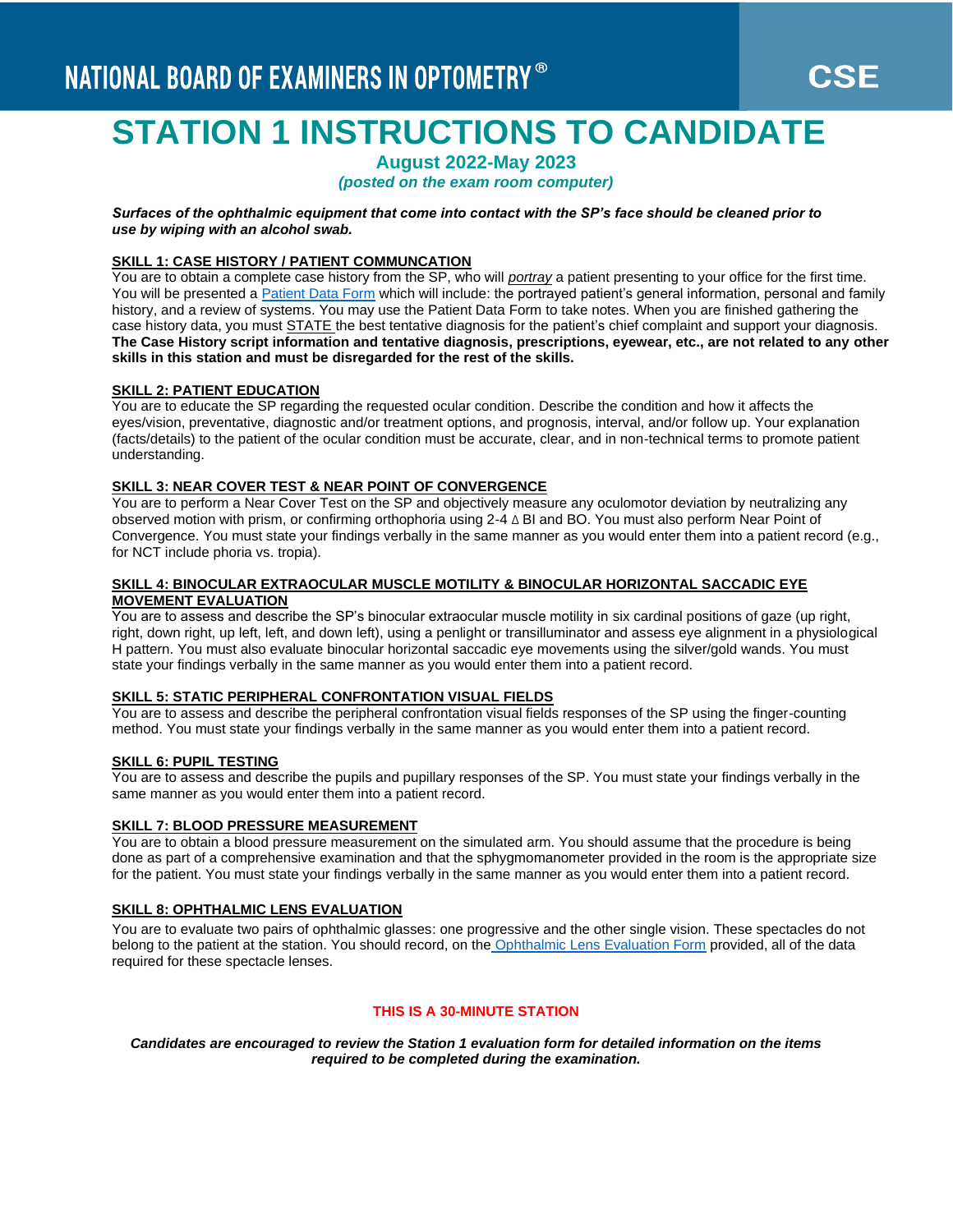# **STATION 1 INSTRUCTIONS TO CANDIDATE**

# **August 2022-May 2023**

*(posted on the exam room computer)*

*Surfaces of the ophthalmic equipment that come into contact with the SP's face should be cleaned prior to use by wiping with an alcohol swab.*

#### **SKILL 1: CASE HISTORY / PATIENT COMMUNCATION**

You are to obtain a complete case history from the SP, who will *portray* a patient presenting to your office for the first time. You will be presented a [Patient Data Form](https://www.optometry.org/media/documents/part3/2023/sample_patient_data_form.pdf) which will include: the portrayed patient's general information, personal and family history, and a review of systems. You may use the Patient Data Form to take notes. When you are finished gathering the case history data, you must **STATE** the best tentative diagnosis for the patient's chief complaint and support your diagnosis. **The Case History script information and tentative diagnosis, prescriptions, eyewear, etc., are not related to any other skills in this station and must be disregarded for the rest of the skills.**

#### **SKILL 2: PATIENT EDUCATION**

You are to educate the SP regarding the requested ocular condition. Describe the condition and how it affects the eyes/vision, preventative, diagnostic and/or treatment options, and prognosis, interval, and/or follow up. Your explanation (facts/details) to the patient of the ocular condition must be accurate, clear, and in non-technical terms to promote patient understanding.

#### **SKILL 3: NEAR COVER TEST & NEAR POINT OF CONVERGENCE**

You are to perform a Near Cover Test on the SP and objectively measure any oculomotor deviation by neutralizing any observed motion with prism, or confirming orthophoria using 2-4 ∆ BI and BO. You must also perform Near Point of Convergence. You must state your findings verbally in the same manner as you would enter them into a patient record (e.g., for NCT include phoria vs. tropia).

#### **SKILL 4: BINOCULAR EXTRAOCULAR MUSCLE MOTILITY & BINOCULAR HORIZONTAL SACCADIC EYE MOVEMENT EVALUATION**

You are to assess and describe the SP's binocular extraocular muscle motility in six cardinal positions of gaze (up right, right, down right, up left, left, and down left), using a penlight or transilluminator and assess eye alignment in a physiological H pattern. You must also evaluate binocular horizontal saccadic eye movements using the silver/gold wands. You must state your findings verbally in the same manner as you would enter them into a patient record.

#### **SKILL 5: STATIC PERIPHERAL CONFRONTATION VISUAL FIELDS**

You are to assess and describe the peripheral confrontation visual fields responses of the SP using the finger-counting method. You must state your findings verbally in the same manner as you would enter them into a patient record.

#### **SKILL 6: PUPIL TESTING**

You are to assess and describe the pupils and pupillary responses of the SP. You must state your findings verbally in the same manner as you would enter them into a patient record.

#### **SKILL 7: BLOOD PRESSURE MEASUREMENT**

You are to obtain a blood pressure measurement on the simulated arm. You should assume that the procedure is being done as part of a comprehensive examination and that the sphygmomanometer provided in the room is the appropriate size for the patient. You must state your findings verbally in the same manner as you would enter them into a patient record.

#### **SKILL 8: OPHTHALMIC LENS EVALUATION**

You are to evaluate two pairs of ophthalmic glasses: one progressive and the other single vision. These spectacles do not belong to the patient at the station. You should record, on the [Ophthalmic Lens Evaluation Form](https://www.optometry.org/media/documents/part3/2023/ophthalmic_lens_evaluation_form.pdf) provided, all of the data required for these spectacle lenses.

#### **THIS IS A 30-MINUTE STATION**

*Candidates are encouraged to review the Station 1 evaluation form for detailed information on the items required to be completed during the examination.*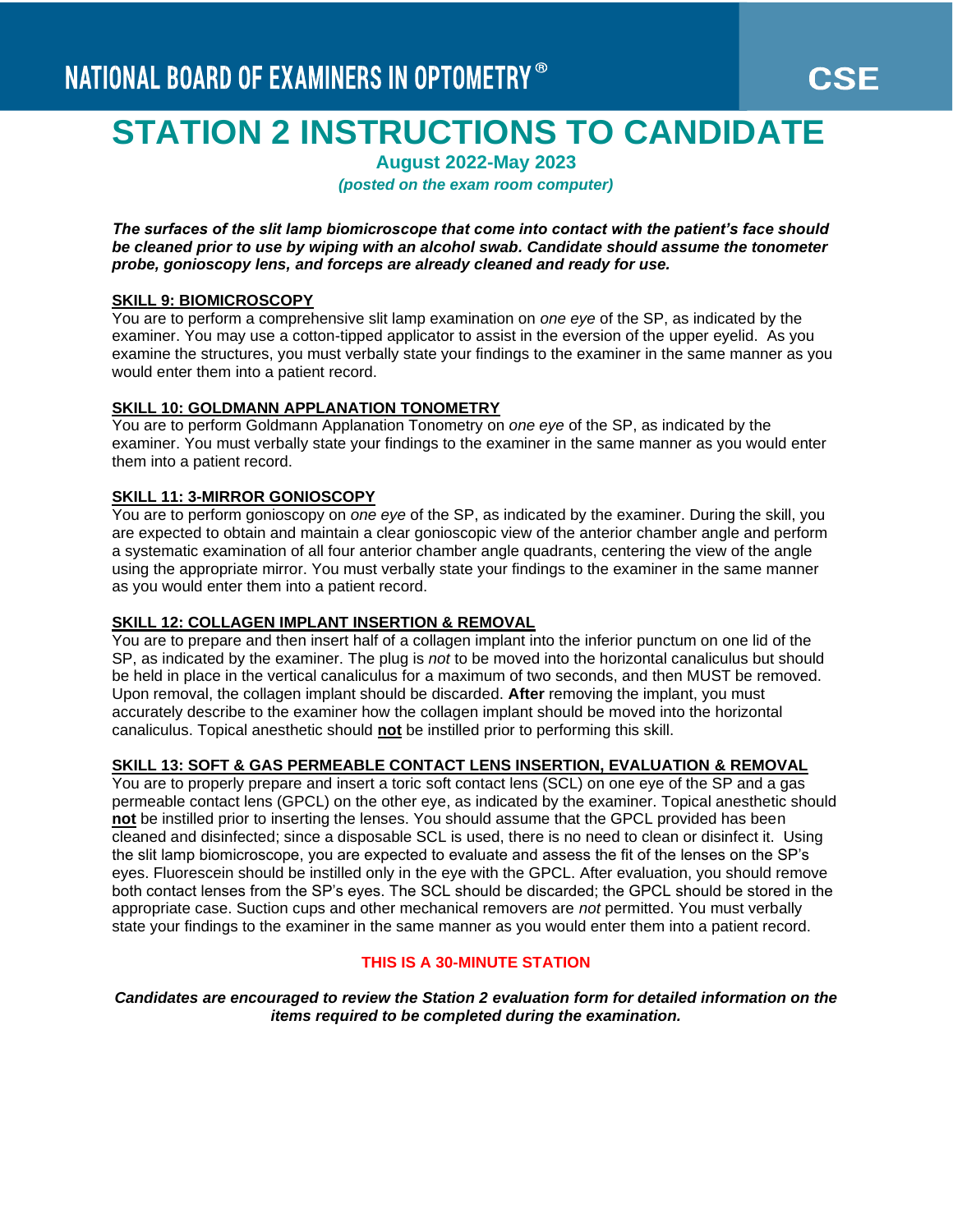# **STATION 2 INSTRUCTIONS TO CANDIDATE**

**August 2022-May 2023**

*(posted on the exam room computer)*

*The surfaces of the slit lamp biomicroscope that come into contact with the patient's face should be cleaned prior to use by wiping with an alcohol swab. Candidate should assume the tonometer probe, gonioscopy lens, and forceps are already cleaned and ready for use.*

#### **SKILL 9: BIOMICROSCOPY**

You are to perform a comprehensive slit lamp examination on *one eye* of the SP, as indicated by the examiner. You may use a cotton-tipped applicator to assist in the eversion of the upper eyelid. As you examine the structures, you must verbally state your findings to the examiner in the same manner as you would enter them into a patient record.

#### **SKILL 10: GOLDMANN APPLANATION TONOMETRY**

You are to perform Goldmann Applanation Tonometry on *one eye* of the SP, as indicated by the examiner. You must verbally state your findings to the examiner in the same manner as you would enter them into a patient record.

#### **SKILL 11: 3-MIRROR GONIOSCOPY**

You are to perform gonioscopy on *one eye* of the SP, as indicated by the examiner. During the skill, you are expected to obtain and maintain a clear gonioscopic view of the anterior chamber angle and perform a systematic examination of all four anterior chamber angle quadrants, centering the view of the angle using the appropriate mirror. You must verbally state your findings to the examiner in the same manner as you would enter them into a patient record.

### **SKILL 12: COLLAGEN IMPLANT INSERTION & REMOVAL**

You are to prepare and then insert half of a collagen implant into the inferior punctum on one lid of the SP, as indicated by the examiner. The plug is *not* to be moved into the horizontal canaliculus but should be held in place in the vertical canaliculus for a maximum of two seconds, and then MUST be removed. Upon removal, the collagen implant should be discarded. **After** removing the implant, you must accurately describe to the examiner how the collagen implant should be moved into the horizontal canaliculus. Topical anesthetic should **not** be instilled prior to performing this skill.

#### **SKILL 13: SOFT & GAS PERMEABLE CONTACT LENS INSERTION, EVALUATION & REMOVAL**

You are to properly prepare and insert a toric soft contact lens (SCL) on one eye of the SP and a gas permeable contact lens (GPCL) on the other eye, as indicated by the examiner. Topical anesthetic should **not** be instilled prior to inserting the lenses. You should assume that the GPCL provided has been cleaned and disinfected; since a disposable SCL is used, there is no need to clean or disinfect it. Using the slit lamp biomicroscope, you are expected to evaluate and assess the fit of the lenses on the SP's eyes. Fluorescein should be instilled only in the eye with the GPCL. After evaluation, you should remove both contact lenses from the SP's eyes. The SCL should be discarded; the GPCL should be stored in the appropriate case. Suction cups and other mechanical removers are *not* permitted. You must verbally state your findings to the examiner in the same manner as you would enter them into a patient record.

### **THIS IS A 30-MINUTE STATION**

*Candidates are encouraged to review the Station 2 evaluation form for detailed information on the items required to be completed during the examination.*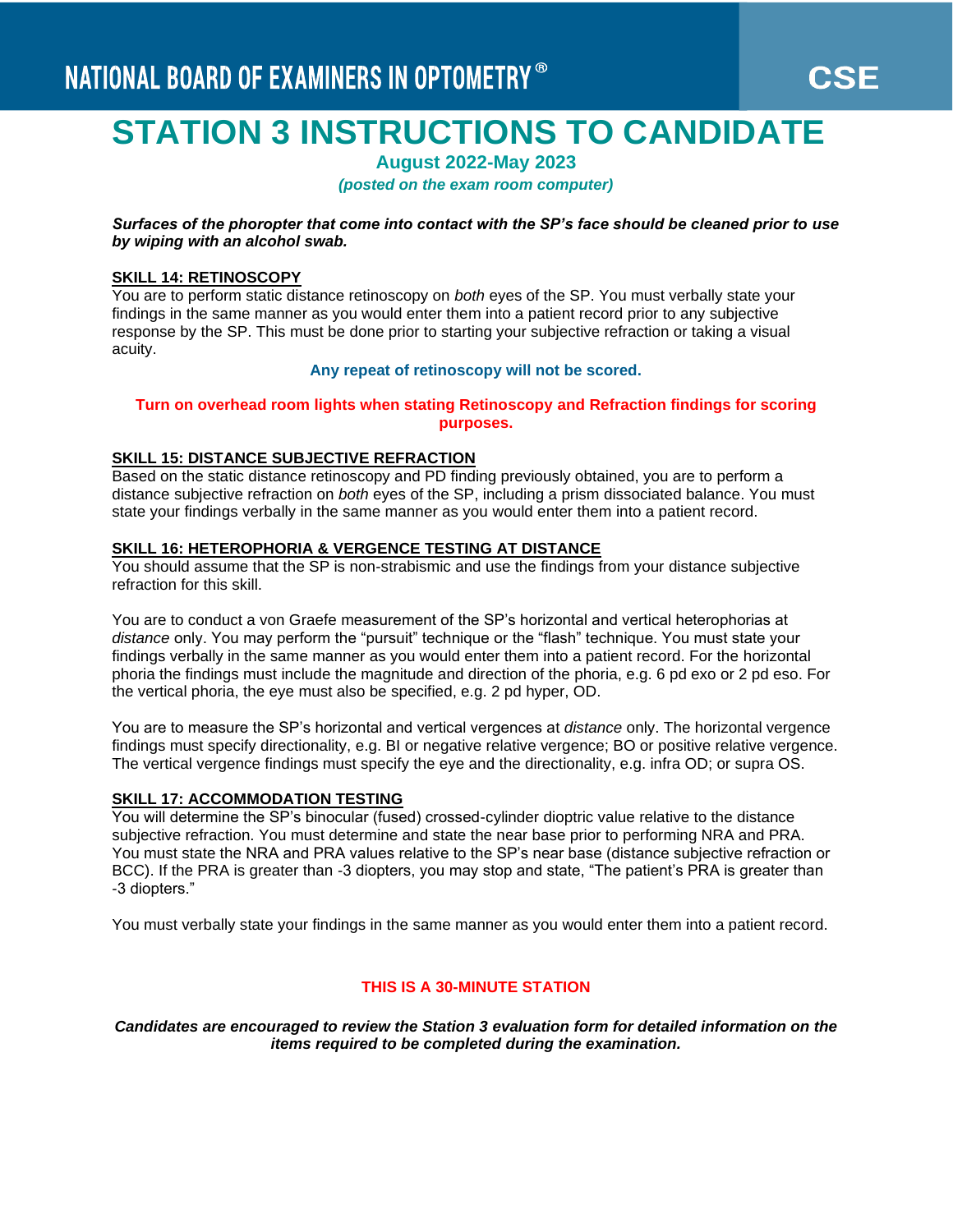# **STATION 3 INSTRUCTIONS TO CANDIDATE**

**August 2022-May 2023**

*(posted on the exam room computer)*

*Surfaces of the phoropter that come into contact with the SP's face should be cleaned prior to use by wiping with an alcohol swab.*

#### **SKILL 14: RETINOSCOPY**

You are to perform static distance retinoscopy on *both* eyes of the SP. You must verbally state your findings in the same manner as you would enter them into a patient record prior to any subjective response by the SP. This must be done prior to starting your subjective refraction or taking a visual acuity.

## **Any repeat of retinoscopy will not be scored.**

#### **Turn on overhead room lights when stating Retinoscopy and Refraction findings for scoring purposes.**

#### **SKILL 15: DISTANCE SUBJECTIVE REFRACTION**

Based on the static distance retinoscopy and PD finding previously obtained, you are to perform a distance subjective refraction on *both* eyes of the SP, including a prism dissociated balance. You must state your findings verbally in the same manner as you would enter them into a patient record.

#### **SKILL 16: HETEROPHORIA & VERGENCE TESTING AT DISTANCE**

You should assume that the SP is non-strabismic and use the findings from your distance subjective refraction for this skill.

You are to conduct a von Graefe measurement of the SP's horizontal and vertical heterophorias at *distance* only. You may perform the "pursuit" technique or the "flash" technique. You must state your findings verbally in the same manner as you would enter them into a patient record. For the horizontal phoria the findings must include the magnitude and direction of the phoria, e.g. 6 pd exo or 2 pd eso. For the vertical phoria, the eye must also be specified, e.g. 2 pd hyper, OD.

You are to measure the SP's horizontal and vertical vergences at *distance* only. The horizontal vergence findings must specify directionality, e.g. BI or negative relative vergence; BO or positive relative vergence. The vertical vergence findings must specify the eye and the directionality, e.g. infra OD; or supra OS.

# **SKILL 17: ACCOMMODATION TESTING**

You will determine the SP's binocular (fused) crossed-cylinder dioptric value relative to the distance subjective refraction. You must determine and state the near base prior to performing NRA and PRA. You must state the NRA and PRA values relative to the SP's near base (distance subjective refraction or BCC). If the PRA is greater than -3 diopters, you may stop and state, "The patient's PRA is greater than -3 diopters."

You must verbally state your findings in the same manner as you would enter them into a patient record.

#### **THIS IS A 30-MINUTE STATION**

*Candidates are encouraged to review the Station 3 evaluation form for detailed information on the items required to be completed during the examination.*